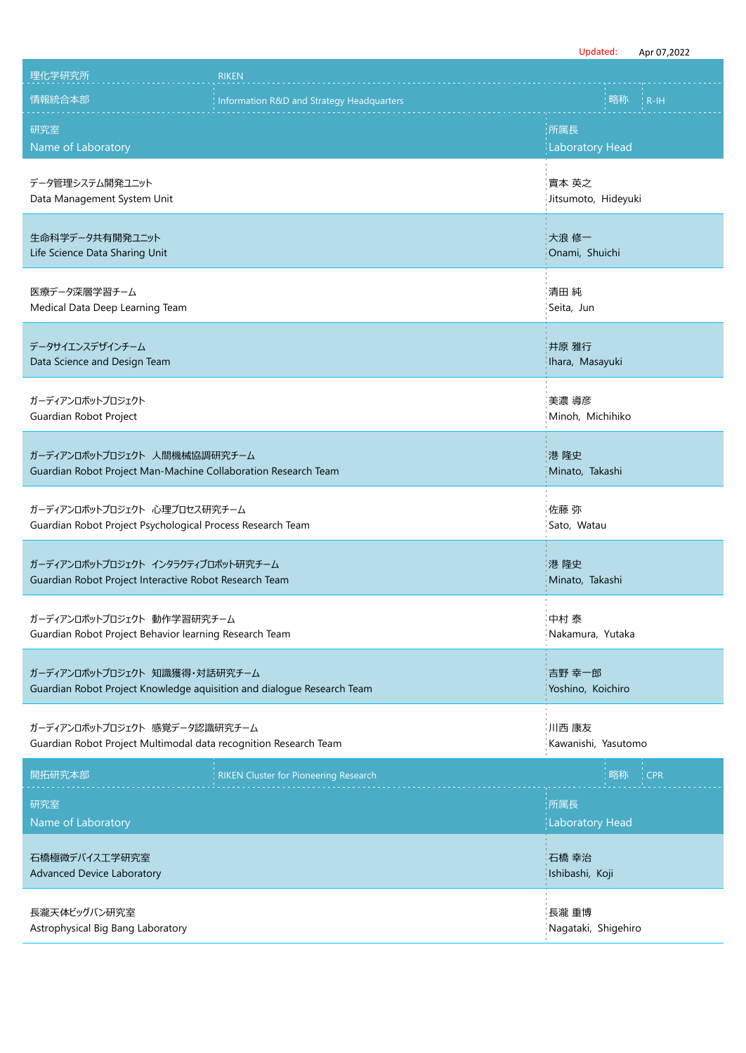|                                                                                                         |                                              | Updated:                           | Apr 07,2022 |
|---------------------------------------------------------------------------------------------------------|----------------------------------------------|------------------------------------|-------------|
| 理化学研究所                                                                                                  | <b>RIKEN</b>                                 |                                    |             |
| 情報統合本部                                                                                                  | Information R&D and Strategy Headquarters    | 略称                                 | $R-H$       |
| 研究室<br>Name of Laboratory                                                                               |                                              | 所属長<br><b>Laboratory Head</b>      |             |
| データ管理システム開発ユニット<br>Data Management System Unit                                                          |                                              | 實本 英之<br>Jitsumoto, Hideyuki       |             |
| 生命科学データ共有開発ユニット<br>Life Science Data Sharing Unit                                                       |                                              | 大浪 修一<br>Onami, Shuichi            |             |
| 医療データ深層学習チーム<br>Medical Data Deep Learning Team                                                         |                                              | 清田 純<br>Seita, Jun                 |             |
| データサイエンスデザインチーム<br>Data Science and Design Team                                                         |                                              | 井原 雅行<br>Ihara, Masayuki           |             |
| ガーディアンロボットプロジェクト<br>Guardian Robot Project                                                              |                                              | 美濃 導彦<br>Minoh, Michihiko          |             |
| ガーディアンロボットプロジェクト 人間機械協調研究チーム<br>Guardian Robot Project Man-Machine Collaboration Research Team          |                                              | 港 隆史<br>Minato, Takashi            |             |
| ガーディアンロボットプロジェクト 心理プロセス研究チーム<br>Guardian Robot Project Psychological Process Research Team              |                                              | 佐藤 弥<br>Sato, Watau                |             |
| ガーディアンロボットプロジェクト インタラクティブロボット研究チーム<br>Guardian Robot Project Interactive Robot Research Team            |                                              | 港 隆史<br>Minato, Takashi            |             |
| ガーディアンロボットプロジェクト 動作学習研究チーム<br>Guardian Robot Project Behavior learning Research Team                    |                                              | $\sim$<br>中村 泰<br>Nakamura, Yutaka |             |
| ガーディアンロボットプロジェクト 知識獲得・対話研究チーム<br>Guardian Robot Project Knowledge aquisition and dialogue Research Team |                                              | 吉野 幸一郎<br>Yoshino, Koichiro        |             |
| ガーディアンロボットプロジェクト 感覚データ認識研究チーム<br>Guardian Robot Project Multimodal data recognition Research Team       |                                              | 川西 康友<br>Kawanishi, Yasutomo       |             |
| 開拓研究本部                                                                                                  | <b>RIKEN Cluster for Pioneering Research</b> | 略称                                 | <b>CPR</b>  |
| 研究室<br>Name of Laboratory                                                                               |                                              | 所属長<br><b>Laboratory Head</b>      |             |
| 石橋極微デバイス工学研究室<br><b>Advanced Device Laboratory</b>                                                      |                                              | 石橋 幸治<br>Ishibashi, Koji           |             |
| 長瀧天体ビッグバン研究室<br>Astrophysical Big Bang Laboratory                                                       |                                              | 長瀧 重博<br>Nagataki, Shigehiro       |             |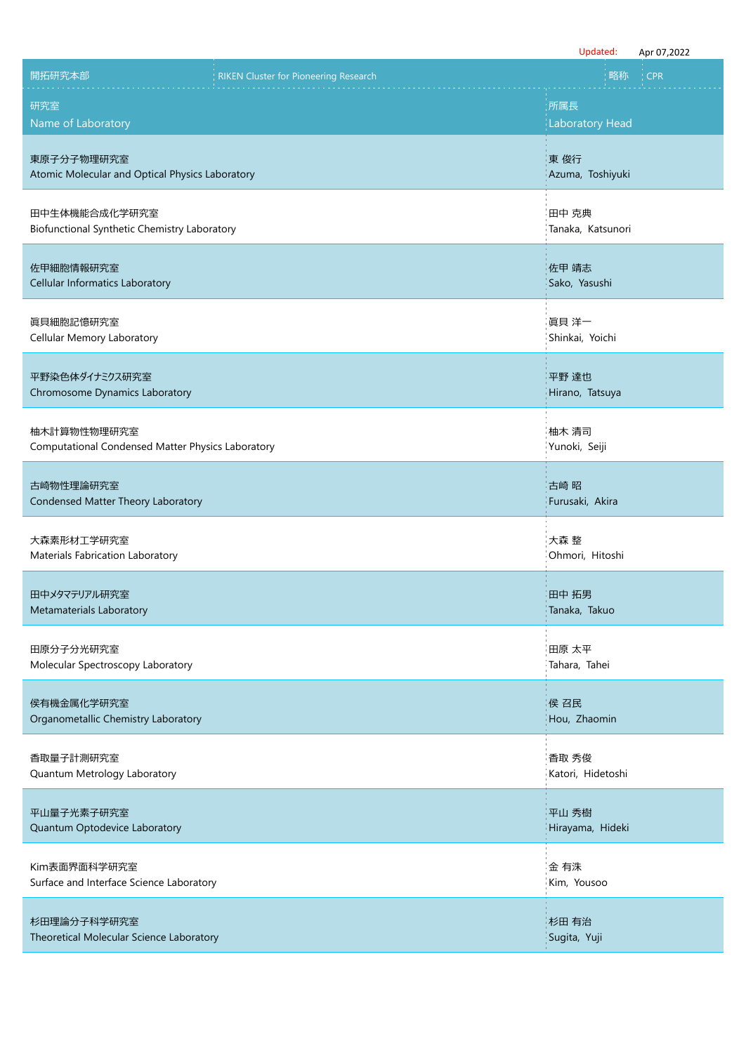|                                                                  |                                              | Updated:                   | Apr 07,2022 |
|------------------------------------------------------------------|----------------------------------------------|----------------------------|-------------|
| 開拓研究本部                                                           | <b>RIKEN Cluster for Pioneering Research</b> | 略称                         | <b>CPR</b>  |
| 研究室                                                              |                                              | :所属長                       |             |
| Name of Laboratory                                               |                                              | <b>Laboratory Head</b>     |             |
| 東原子分子物理研究室<br>Atomic Molecular and Optical Physics Laboratory    |                                              | 東俊行<br>Azuma, Toshiyuki    |             |
| 田中生体機能合成化学研究室<br>Biofunctional Synthetic Chemistry Laboratory    |                                              | 田中 克典<br>Tanaka, Katsunori |             |
| 佐甲細胞情報研究室<br>Cellular Informatics Laboratory                     |                                              | 佐甲 靖志<br>Sako, Yasushi     |             |
| 真貝細胞記憶研究室<br>Cellular Memory Laboratory                          |                                              | 眞貝 洋一<br>Shinkai, Yoichi   |             |
| 平野染色体ダイナミクス研究室<br>Chromosome Dynamics Laboratory                 |                                              | 平野 達也<br>Hirano, Tatsuya   |             |
| 柚木計算物性物理研究室<br>Computational Condensed Matter Physics Laboratory |                                              | 柚木 清司<br>Yunoki, Seiji     |             |
| 古崎物性理論研究室<br>Condensed Matter Theory Laboratory                  |                                              | 古崎 昭<br>Furusaki, Akira    |             |
| 大森素形材工学研究室<br>Materials Fabrication Laboratory                   |                                              | 大森 整<br>Ohmori, Hitoshi    |             |
| 田中メタマテリアル研究室<br>Metamaterials Laboratory                         |                                              | 田中 拓男<br>Tanaka, Takuo     |             |
| 田原分子分光研究室<br>Molecular Spectroscopy Laboratory                   |                                              | 田原 太平<br>Tahara, Tahei     |             |
| 侯有機金属化学研究室<br>Organometallic Chemistry Laboratory                |                                              | 侯 召民<br>Hou, Zhaomin       |             |
| 香取量子計測研究室<br>Quantum Metrology Laboratory                        |                                              | 香取 秀俊<br>Katori, Hidetoshi |             |
| 平山量子光素子研究室<br>Quantum Optodevice Laboratory                      |                                              | 平山 秀樹<br>Hirayama, Hideki  |             |
| Kim表面界面科学研究室<br>Surface and Interface Science Laboratory         |                                              | 金 有洙<br>Kim, Yousoo        |             |
| 杉田理論分子科学研究室<br>Theoretical Molecular Science Laboratory          |                                              | 杉田 有治<br>Sugita, Yuji      |             |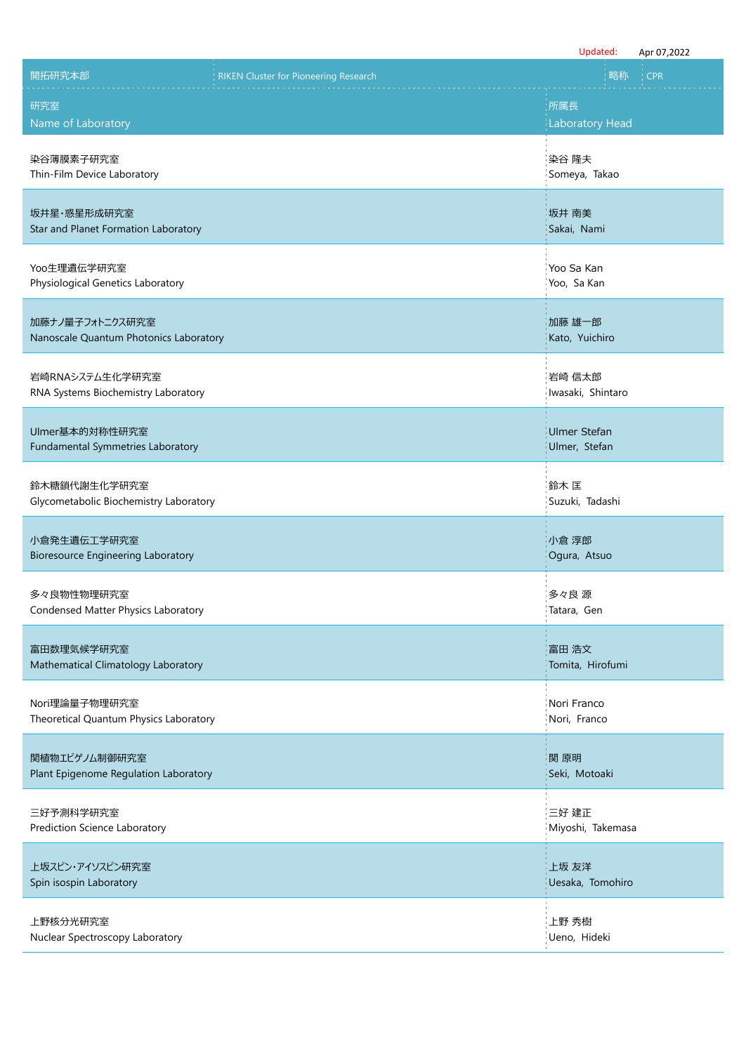|                                                           |                                              | Updated:                             | Apr 07,2022 |
|-----------------------------------------------------------|----------------------------------------------|--------------------------------------|-------------|
| 開拓研究本部                                                    | <b>RIKEN Cluster for Pioneering Research</b> | 略称                                   | <b>CPR</b>  |
| 研究室<br>Name of Laboratory                                 |                                              | :所属長<br><b>Laboratory Head</b>       |             |
| 染谷薄膜素子研究室<br>Thin-Film Device Laboratory                  |                                              | 染谷 隆夫<br>Someya, Takao               |             |
| 坂井星·惑星形成研究室<br>Star and Planet Formation Laboratory       |                                              | 坂井 南美<br>Sakai, Nami                 |             |
| Yoo生理遺伝学研究室<br>Physiological Genetics Laboratory          |                                              | Yoo Sa Kan<br>Yoo, Sa Kan            |             |
| 加藤ナノ量子フォトニクス研究室<br>Nanoscale Quantum Photonics Laboratory |                                              | 加藤 雄一郎<br>Kato, Yuichiro             |             |
| 岩崎RNAシステム生化学研究室<br>RNA Systems Biochemistry Laboratory    |                                              | 岩崎 信太郎<br>Iwasaki, Shintaro          |             |
| Ulmer基本的対称性研究室<br>Fundamental Symmetries Laboratory       |                                              | <b>Ulmer Stefan</b><br>Ulmer, Stefan |             |
| 鈴木糖鎖代謝生化学研究室<br>Glycometabolic Biochemistry Laboratory    |                                              | 鈴木 匡<br>Suzuki, Tadashi              |             |
| 小倉発生遺伝工学研究室<br><b>Bioresource Engineering Laboratory</b>  |                                              | 小倉 淳郎<br>Ogura, Atsuo                |             |
| 多々良物性物理研究室<br>Condensed Matter Physics Laboratory         |                                              | 多々良 源<br>Tatara, Gen                 |             |
| 富田数理気候学研究室<br>Mathematical Climatology Laboratory         |                                              | 富田 浩文<br>Tomita, Hirofumi            |             |
| Nori理論量子物理研究室<br>Theoretical Quantum Physics Laboratory   |                                              | Nori Franco<br>Nori, Franco          |             |
| 関植物エピゲノム制御研究室<br>Plant Epigenome Regulation Laboratory    |                                              | 関 原明<br>Seki, Motoaki                |             |
| 三好予測科学研究室<br>Prediction Science Laboratory                |                                              | 三好 建正<br>Miyoshi, Takemasa           |             |
| 上坂スピン・アイソスピン研究室<br>Spin isospin Laboratory                |                                              | 上坂 友洋<br>Uesaka, Tomohiro            |             |
| 上野核分光研究室<br>Nuclear Spectroscopy Laboratory               |                                              | 上野 秀樹<br>Ueno, Hideki                |             |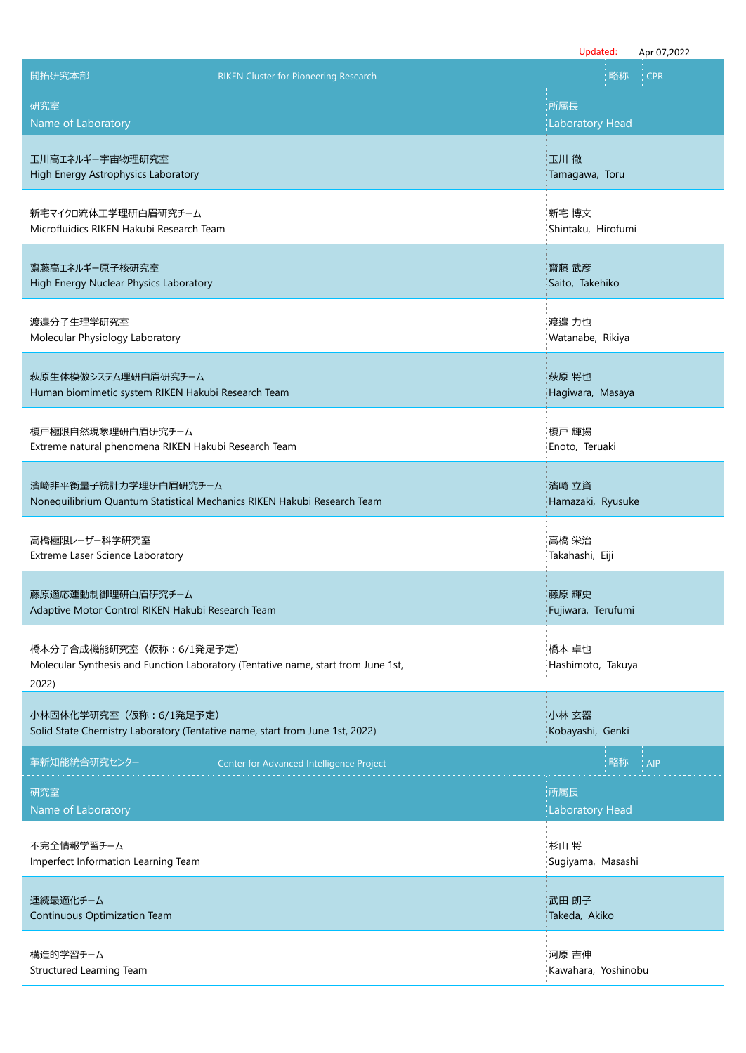|                                                                                                         |                                                                                   | Updated:                       | Apr 07,2022 |
|---------------------------------------------------------------------------------------------------------|-----------------------------------------------------------------------------------|--------------------------------|-------------|
| 開拓研究本部                                                                                                  | <b>RIKEN Cluster for Pioneering Research</b>                                      | 略称                             | <b>CPR</b>  |
| 研究室<br>Name of Laboratory                                                                               |                                                                                   | :所属長<br><b>Laboratory Head</b> |             |
| 玉川高エネルギー宇宙物理研究室<br>High Energy Astrophysics Laboratory                                                  |                                                                                   | 玉川徹<br>Tamagawa, Toru          |             |
| 新宅マイクロ流体工学理研白眉研究チーム<br>Microfluidics RIKEN Hakubi Research Team                                         |                                                                                   | 新宅 博文<br>Shintaku, Hirofumi    |             |
| 齋藤高エネルギー原子核研究室<br>High Energy Nuclear Physics Laboratory                                                |                                                                                   | 齋藤 武彦<br>Saito, Takehiko       |             |
| 渡邉分子生理学研究室<br>Molecular Physiology Laboratory                                                           |                                                                                   | 渡邉 力也<br>Watanabe, Rikiya      |             |
| 萩原生体模倣システム理研白眉研究チーム<br>Human biomimetic system RIKEN Hakubi Research Team                               |                                                                                   | 萩原 将也<br>Hagiwara, Masaya      |             |
| 榎戸極限自然現象理研白眉研究チーム<br>Extreme natural phenomena RIKEN Hakubi Research Team                               |                                                                                   | 榎戸 輝揚<br>Enoto, Teruaki        |             |
| 濱崎非平衡量子統計力学理研白眉研究チーム<br>Nonequilibrium Quantum Statistical Mechanics RIKEN Hakubi Research Team         |                                                                                   | 濱崎 立資<br>Hamazaki, Ryusuke     |             |
| 高橋極限レーザー科学研究室<br>Extreme Laser Science Laboratory                                                       |                                                                                   | 高橋 栄治<br>Takahashi, Eiji       |             |
| 藤原適応運動制御理研白眉研究チーム<br>Adaptive Motor Control RIKEN Hakubi Research Team                                  |                                                                                   | 藤原 輝史<br>Fujiwara, Terufumi    |             |
| 橋本分子合成機能研究室 (仮称: 6/1発足予定)<br>2022)                                                                      | Molecular Synthesis and Function Laboratory (Tentative name, start from June 1st, | 橋本 卓也<br>Hashimoto, Takuya     |             |
| 小林固体化学研究室 (仮称: 6/1発足予定)<br>Solid State Chemistry Laboratory (Tentative name, start from June 1st, 2022) |                                                                                   | 小林 玄器<br>Kobayashi, Genki      |             |
| 革新知能統合研究センター                                                                                            | Center for Advanced Intelligence Project                                          | 略称                             | <b>AIP</b>  |
| 研究室<br>Name of Laboratory                                                                               |                                                                                   | ;所属長<br><b>Laboratory Head</b> |             |
| 不完全情報学習チーム<br>Imperfect Information Learning Team                                                       |                                                                                   | 杉山 将<br>Sugiyama, Masashi      |             |
| 連続最適化チーム<br>Continuous Optimization Team                                                                |                                                                                   | 武田 朗子<br>Takeda, Akiko         |             |
| 構造的学習チーム<br>Structured Learning Team                                                                    |                                                                                   | 河原 吉伸<br>Kawahara, Yoshinobu   |             |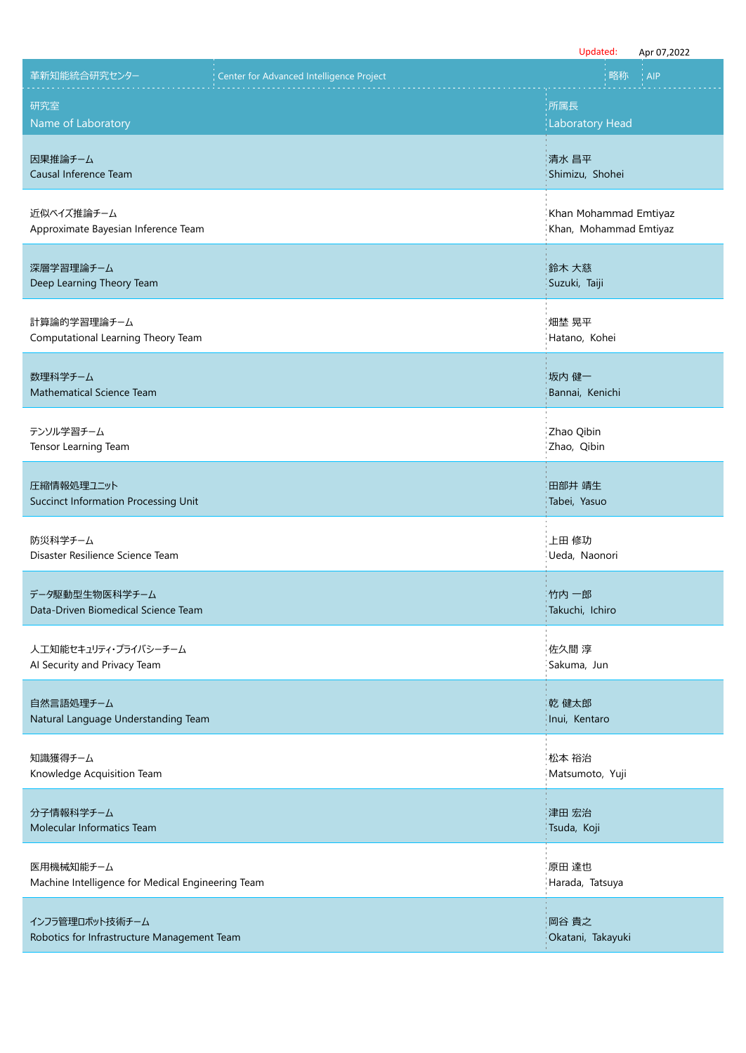|                                                                |                                          | Updated:<br>Apr 07,2022                         |
|----------------------------------------------------------------|------------------------------------------|-------------------------------------------------|
| 革新知能統合研究センター                                                   | Center for Advanced Intelligence Project | 略称<br><b>AIP</b>                                |
| 研究室<br>Name of Laboratory                                      |                                          | 所属長<br><b>Laboratory Head</b>                   |
| 因果推論チーム<br>Causal Inference Team                               |                                          | 清水 昌平<br>Shimizu, Shohei                        |
| 近似ベイズ推論チーム<br>Approximate Bayesian Inference Team              |                                          | Khan Mohammad Emtiyaz<br>Khan, Mohammad Emtiyaz |
| 深層学習理論チーム<br>Deep Learning Theory Team                         |                                          | 鈴木 大慈<br>Suzuki, Taiji                          |
| 計算論的学習理論チーム<br>Computational Learning Theory Team              |                                          | 畑埜 晃平<br>Hatano, Kohei                          |
| 数理科学チーム<br>Mathematical Science Team                           |                                          | 坂内 健一<br>Bannai, Kenichi                        |
| テンソル学習チーム<br>Tensor Learning Team                              |                                          | Zhao Qibin<br>Zhao, Qibin                       |
| 圧縮情報処理ユニット<br>Succinct Information Processing Unit             |                                          | 田部井 靖生<br>Tabei, Yasuo                          |
| 防災科学チーム<br>Disaster Resilience Science Team                    |                                          | 上田 修功<br>Ueda, Naonori                          |
| データ駆動型生物医科学チーム<br>Data-Driven Biomedical Science Team          |                                          | 竹内 一郎<br>Takuchi, Ichiro                        |
| 人工知能セキュリティ・プライバシーチーム<br>Al Security and Privacy Team           |                                          | 佐久間 淳<br>Sakuma, Jun                            |
| 自然言語処理チーム<br>Natural Language Understanding Team               |                                          | 乾 健太郎<br>Inui, Kentaro                          |
| 知識獲得チーム<br>Knowledge Acquisition Team                          |                                          | 松本 裕治<br>Matsumoto, Yuji                        |
| 分子情報科学チーム<br>Molecular Informatics Team                        |                                          | 津田 宏治<br>Tsuda, Koji                            |
| 医用機械知能チーム<br>Machine Intelligence for Medical Engineering Team |                                          | 原田 達也<br>Harada, Tatsuya                        |
| インフラ管理ロボット技術チーム<br>Robotics for Infrastructure Management Team |                                          | 岡谷 貴之<br>Okatani, Takayuki                      |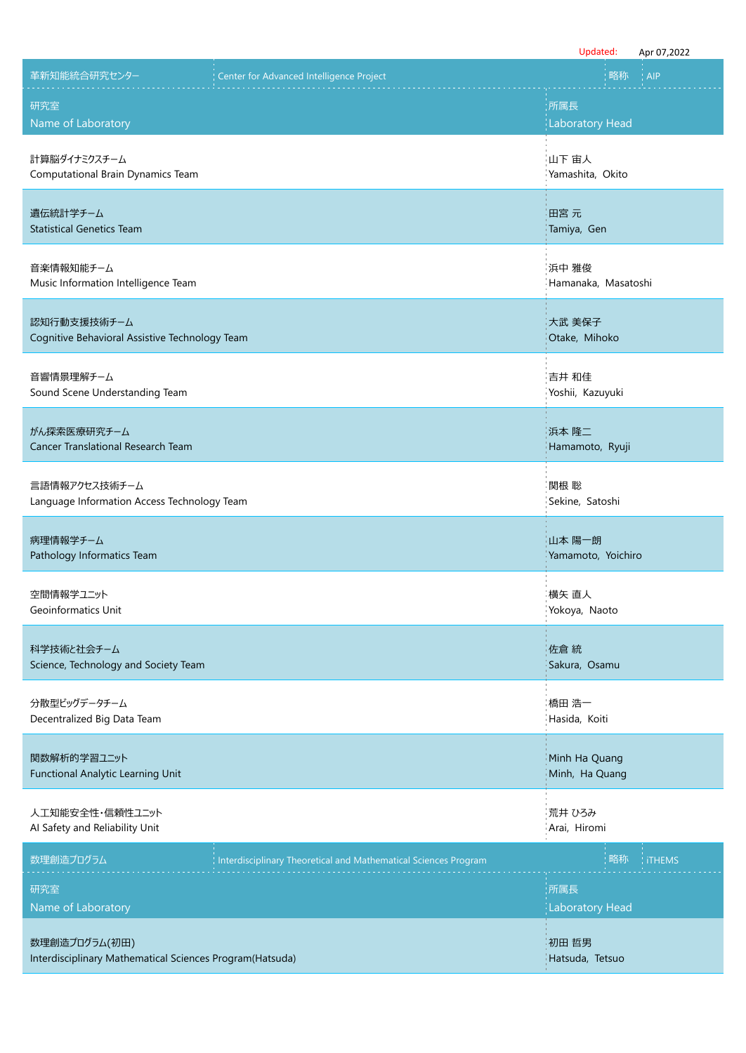|                                                                           |                                                                 | Updated:                        | Apr 07,2022 |
|---------------------------------------------------------------------------|-----------------------------------------------------------------|---------------------------------|-------------|
| 革新知能統合研究センター                                                              | Center for Advanced Intelligence Project                        | 略称                              | <b>AIP</b>  |
| 研究室<br>Name of Laboratory                                                 |                                                                 | :所属長<br><b>Laboratory Head</b>  |             |
| 計算脳ダイナミクスチーム<br>Computational Brain Dynamics Team                         |                                                                 | 山下 宙人<br>Yamashita, Okito       |             |
| 遺伝統計学チーム<br><b>Statistical Genetics Team</b>                              |                                                                 | 田宮 元<br>Tamiya, Gen             |             |
| 音楽情報知能チーム<br>Music Information Intelligence Team                          |                                                                 | 浜中 雅俊<br>Hamanaka, Masatoshi    |             |
| 認知行動支援技術チーム<br>Cognitive Behavioral Assistive Technology Team             |                                                                 | 大武 美保子<br>Otake, Mihoko         |             |
| 音響情景理解チーム<br>Sound Scene Understanding Team                               |                                                                 | 吉井 和佳<br>Yoshii, Kazuyuki       |             |
| がん探索医療研究チーム<br>Cancer Translational Research Team                         |                                                                 | 浜本 隆二<br>Hamamoto, Ryuji        |             |
| 言語情報アクセス技術チーム<br>Language Information Access Technology Team              |                                                                 | 関根 聡<br>Sekine, Satoshi         |             |
| 病理情報学チーム<br>Pathology Informatics Team                                    |                                                                 | 山本 陽一朗<br>Yamamoto, Yoichiro    |             |
| 空間情報学ユニット<br>Geoinformatics Unit                                          |                                                                 | 横矢 直人<br>Yokoya, Naoto          |             |
| 科学技術と社会チーム<br>Science, Technology and Society Team                        |                                                                 | 佐倉 統<br>Sakura, Osamu           |             |
| 分散型ビッグデータチーム<br>Decentralized Big Data Team                               |                                                                 | 橋田 浩一<br>Hasida, Koiti          |             |
| 関数解析的学習ユニット<br><b>Functional Analytic Learning Unit</b>                   |                                                                 | Minh Ha Quang<br>Minh, Ha Quang |             |
| 人工知能安全性・信頼性ユニット<br>Al Safety and Reliability Unit                         |                                                                 | 荒井 ひろみ<br>Arai, Hiromi          |             |
| 数理創造プログラム                                                                 | Interdisciplinary Theoretical and Mathematical Sciences Program | 略称                              | : iTHEMS    |
| 研究室<br>Name of Laboratory                                                 |                                                                 | 所属長<br><b>Laboratory Head</b>   |             |
| 数理創造プログラム(初田)<br>Interdisciplinary Mathematical Sciences Program(Hatsuda) |                                                                 | 初田 哲男<br>Hatsuda, Tetsuo        |             |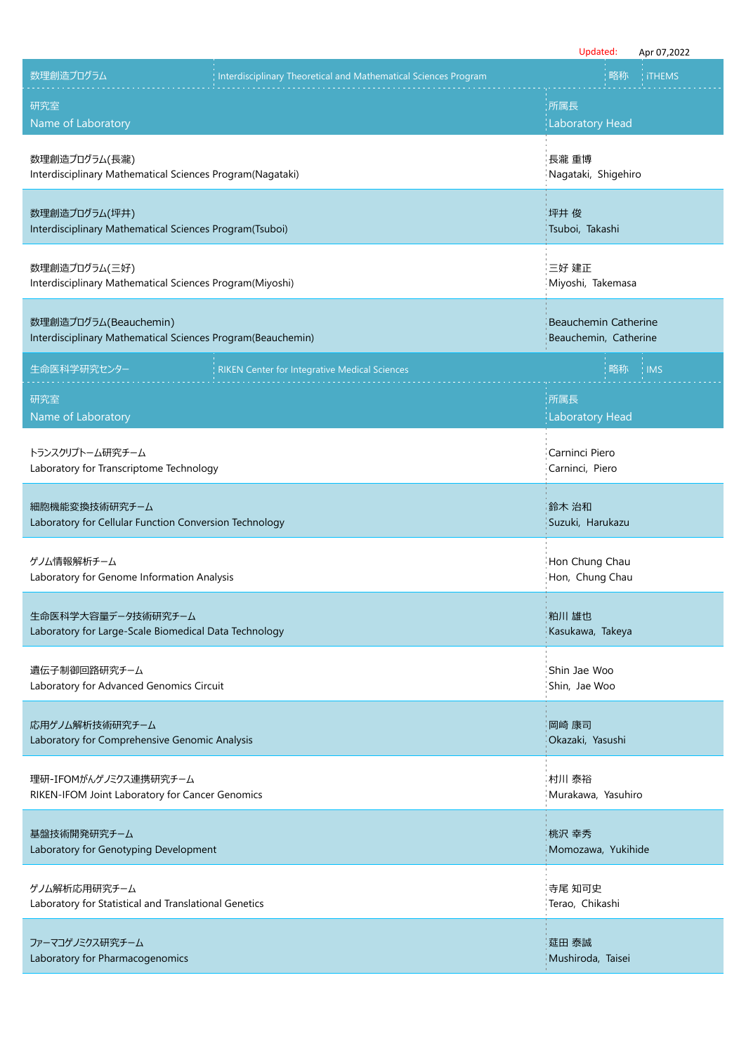|                                                                                      |                                                                 | Updated:                                      | Apr 07,2022 |
|--------------------------------------------------------------------------------------|-----------------------------------------------------------------|-----------------------------------------------|-------------|
| 数理創造プログラム                                                                            | Interdisciplinary Theoretical and Mathematical Sciences Program | 略称                                            | : iTHEMS    |
| 研究室<br>Name of Laboratory                                                            |                                                                 | :所属長<br><b>Laboratory Head</b>                |             |
| 数理創造プログラム(長瀧)<br>Interdisciplinary Mathematical Sciences Program(Nagataki)           |                                                                 | 長瀧 重博<br>Nagataki, Shigehiro                  |             |
| 数理創造プログラム(坪井)<br>Interdisciplinary Mathematical Sciences Program(Tsuboi)             |                                                                 | 『坪井 俊<br>Tsuboi, Takashi                      |             |
| 数理創造プログラム(三好)<br>Interdisciplinary Mathematical Sciences Program(Miyoshi)            |                                                                 | 三好 建正<br>Miyoshi, Takemasa                    |             |
| 数理創造プログラム(Beauchemin)<br>Interdisciplinary Mathematical Sciences Program(Beauchemin) |                                                                 | Beauchemin Catherine<br>Beauchemin, Catherine |             |
| 生命医科学研究センター                                                                          | <b>RIKEN Center for Integrative Medical Sciences</b>            | 略称                                            | <b>IMS</b>  |
| 研究室<br>Name of Laboratory                                                            |                                                                 | 所属長<br><b>Laboratory Head</b>                 |             |
| トランスクリプトーム研究チーム<br>Laboratory for Transcriptome Technology                           |                                                                 | Carninci Piero<br>Carninci, Piero             |             |
| 細胞機能変換技術研究チーム<br>Laboratory for Cellular Function Conversion Technology              |                                                                 | 鈴木 治和<br>Suzuki, Harukazu                     |             |
| ゲノム情報解析チーム<br>Laboratory for Genome Information Analysis                             |                                                                 | Hon Chung Chau<br>Hon, Chung Chau             |             |
| 生命医科学大容量データ技術研究チーム<br>Laboratory for Large-Scale Biomedical Data Technology          |                                                                 | 粕川 雄也<br>Kasukawa, Takeya                     |             |
| 遺伝子制御回路研究チーム<br>Laboratory for Advanced Genomics Circuit                             |                                                                 | Shin Jae Woo<br>Shin, Jae Woo                 |             |
| 応用ゲノム解析技術研究チーム<br>Laboratory for Comprehensive Genomic Analysis                      |                                                                 | 岡崎 康司<br>Okazaki, Yasushi                     |             |
| 理研-IFOMがんゲノミクス連携研究チーム<br>RIKEN-IFOM Joint Laboratory for Cancer Genomics             |                                                                 | 村川 泰裕<br>Murakawa, Yasuhiro                   |             |
| 基盤技術開発研究チーム<br>Laboratory for Genotyping Development                                 |                                                                 | 桃沢 幸秀<br>Momozawa, Yukihide                   |             |
| ゲノム解析応用研究チーム<br>Laboratory for Statistical and Translational Genetics                |                                                                 | 寺尾 知可史<br>Terao, Chikashi                     |             |
| ファーマコゲノミクス研究チーム<br>Laboratory for Pharmacogenomics                                   |                                                                 | 莚田 泰誠<br>Mushiroda, Taisei                    |             |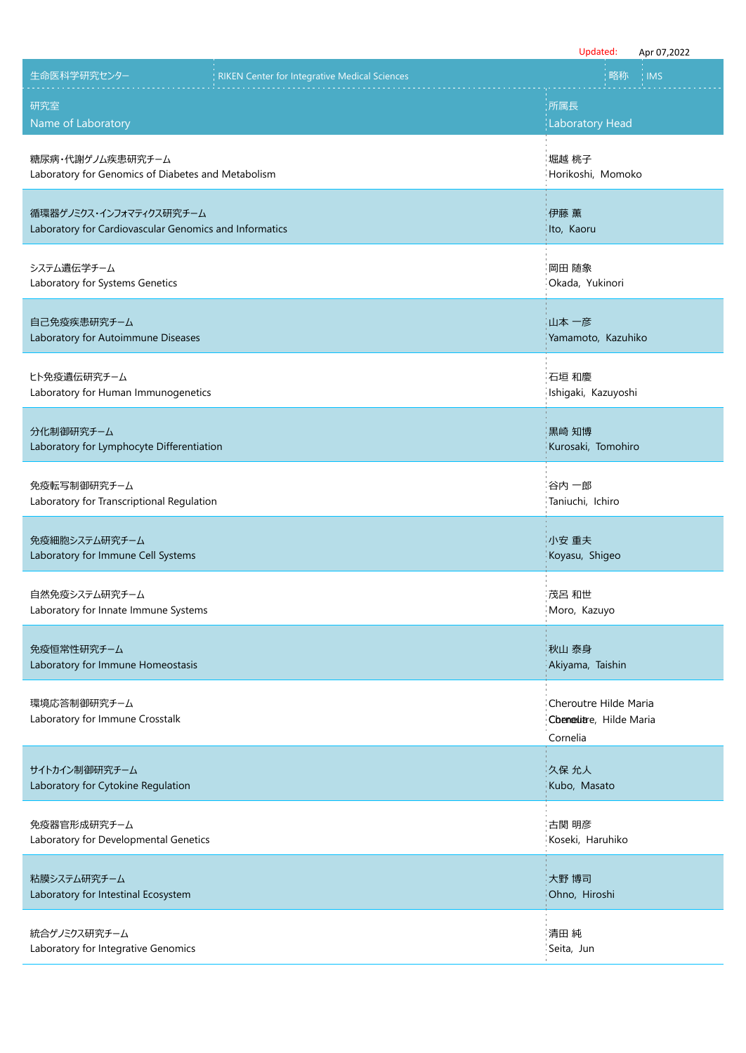|                                                        | Updated:<br>Apr 07,2022                                      |
|--------------------------------------------------------|--------------------------------------------------------------|
| 生命医科学研究センター                                            | 略称                                                           |
| <b>RIKEN Center for Integrative Medical Sciences</b>   | <b>IMS</b>                                                   |
| 研究室                                                    | :所属長                                                         |
| Name of Laboratory                                     | <b>Laboratory Head</b>                                       |
| 糖尿病・代謝ゲノム疾患研究チーム                                       | 堀越 桃子                                                        |
| Laboratory for Genomics of Diabetes and Metabolism     | Horikoshi, Momoko                                            |
| 循環器ゲノミクス・インフォマティクス研究チーム                                | 伊藤 薫                                                         |
| Laboratory for Cardiovascular Genomics and Informatics | Ito, Kaoru                                                   |
| システム遺伝学チーム                                             | 岡田 随象                                                        |
| Laboratory for Systems Genetics                        | Okada, Yukinori                                              |
| 自己免疫疾患研究チーム                                            | 山本 一彦                                                        |
| Laboratory for Autoimmune Diseases                     | Yamamoto, Kazuhiko                                           |
| ヒト免疫遺伝研究チーム                                            | 石垣 和慶                                                        |
| Laboratory for Human Immunogenetics                    | Ishigaki, Kazuyoshi                                          |
| 分化制御研究チーム                                              | 黒崎 知博                                                        |
| Laboratory for Lymphocyte Differentiation              | Kurosaki, Tomohiro                                           |
| 免疫転写制御研究チーム                                            | 谷内 一郎                                                        |
| Laboratory for Transcriptional Regulation              | Taniuchi, Ichiro                                             |
| 免疫細胞システム研究チーム                                          | 小安 重夫                                                        |
| Laboratory for Immune Cell Systems                     | Koyasu, Shigeo                                               |
| 自然免疫システム研究チーム                                          | 茂呂 和世                                                        |
| Laboratory for Innate Immune Systems                   | Moro, Kazuyo                                                 |
| 免疫恒常性研究チーム                                             | 秋山 泰身                                                        |
| Laboratory for Immune Homeostasis                      | Akiyama, Taishin                                             |
| 環境応答制御研究チーム<br>Laboratory for Immune Crosstalk         | Cheroutre Hilde Maria<br>Chenelitre, Hilde Maria<br>Cornelia |
| サイトカイン制御研究チーム                                          | 久保 允人                                                        |
| Laboratory for Cytokine Regulation                     | Kubo, Masato                                                 |
| 免疫器官形成研究チーム                                            | 古関 明彦                                                        |
| Laboratory for Developmental Genetics                  | Koseki, Haruhiko                                             |
| 粘膜システム研究チーム                                            | 大野 博司                                                        |
| Laboratory for Intestinal Ecosystem                    | Ohno, Hiroshi                                                |
| 統合ゲノミクス研究チーム                                           | 清田 純                                                         |
| Laboratory for Integrative Genomics                    | Seita, Jun                                                   |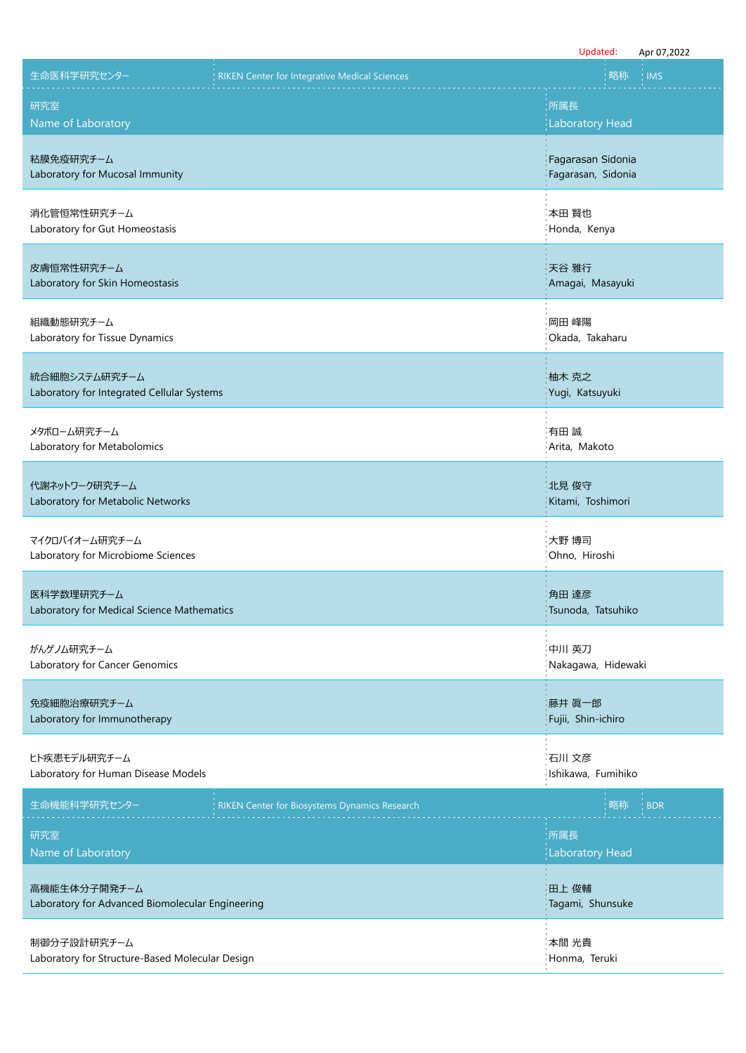|                                                                  |                                                      | Updated:                                | Apr 07,2022 |
|------------------------------------------------------------------|------------------------------------------------------|-----------------------------------------|-------------|
| 生命医科学研究センター                                                      | <b>RIKEN Center for Integrative Medical Sciences</b> | 略称                                      | <b>IMS</b>  |
| 研究室<br>Name of Laboratory                                        |                                                      | :所属長<br><b>Laboratory Head</b>          |             |
| 粘膜免疫研究チーム<br>Laboratory for Mucosal Immunity                     |                                                      | Fagarasan Sidonia<br>Fagarasan, Sidonia |             |
| 消化管恒常性研究チーム<br>Laboratory for Gut Homeostasis                    |                                                      | 本田 賢也<br>Honda, Kenya                   |             |
| 皮膚恒常性研究チーム<br>Laboratory for Skin Homeostasis                    |                                                      | 天谷 雅行<br>Amagai, Masayuki               |             |
| 組織動態研究チーム<br>Laboratory for Tissue Dynamics                      |                                                      | 岡田 峰陽<br>Okada, Takaharu                |             |
| 統合細胞システム研究チーム<br>Laboratory for Integrated Cellular Systems      |                                                      | 柚木 克之<br>Yugi, Katsuyuki                |             |
| メタボローム研究チーム<br>Laboratory for Metabolomics                       |                                                      | 有田 誠<br>Arita, Makoto                   |             |
| 代謝ネットワーク研究チーム<br>Laboratory for Metabolic Networks               |                                                      | 北見 俊守<br>Kitami, Toshimori              |             |
| マイクロバイオーム研究チーム<br>Laboratory for Microbiome Sciences             |                                                      | 大野 博司<br>Ohno, Hiroshi                  |             |
| 医科学数理研究チーム<br>Laboratory for Medical Science Mathematics         |                                                      | 角田 達彦<br>Tsunoda, Tatsuhiko             |             |
| がんゲノム研究チーム<br>Laboratory for Cancer Genomics                     |                                                      | 中川 英刀<br>Nakagawa, Hidewaki             |             |
| 免疫細胞治療研究チーム<br>Laboratory for Immunotherapy                      |                                                      | 藤井 眞一郎<br>Fujii, Shin-ichiro            |             |
| ヒト疾患モデル研究チーム<br>Laboratory for Human Disease Models              |                                                      | 石川 文彦<br>Ishikawa, Fumihiko             |             |
| 生命機能科学研究センター                                                     | RIKEN Center for Biosystems Dynamics Research        | 略称                                      | <b>BDR</b>  |
| 研究室<br>Name of Laboratory                                        |                                                      | ;所属長<br><b>Laboratory Head</b>          |             |
| 高機能生体分子開発チーム<br>Laboratory for Advanced Biomolecular Engineering |                                                      | 田上 俊輔<br>Tagami, Shunsuke               |             |
| 制御分子設計研究チーム<br>Laboratory for Structure-Based Molecular Design   |                                                      | 本間 光貴<br>Honma, Teruki                  |             |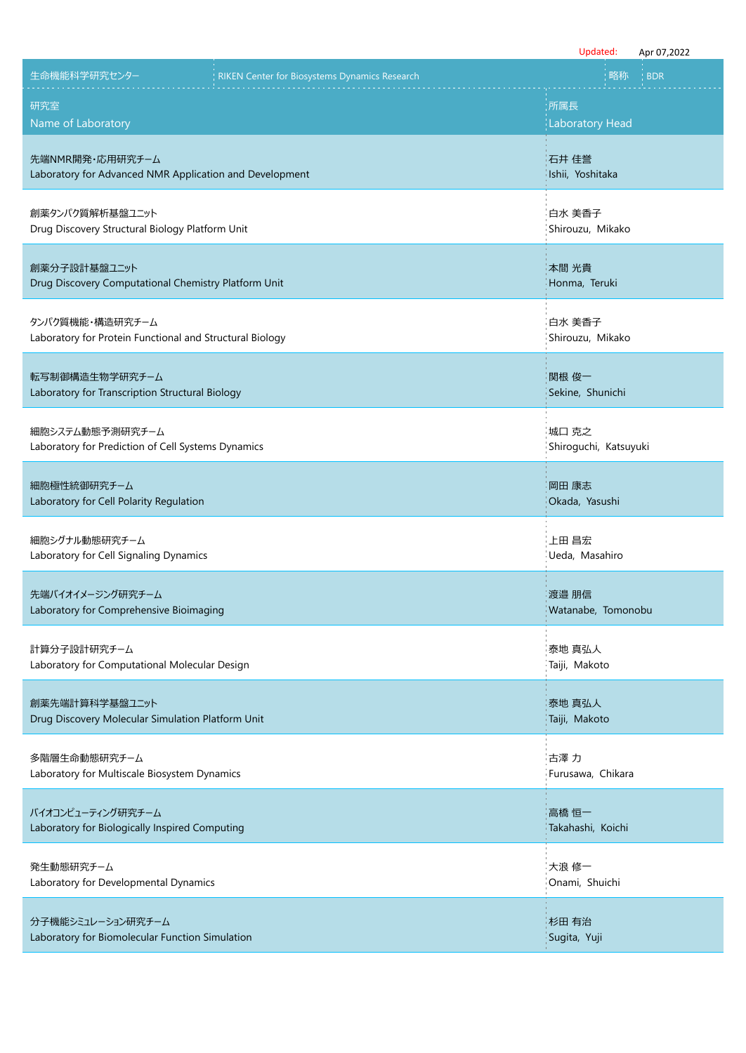|                                                                             |                                               | Updated:<br>Apr 07,2022        |
|-----------------------------------------------------------------------------|-----------------------------------------------|--------------------------------|
| 生命機能科学研究センター                                                                | RIKEN Center for Biosystems Dynamics Research | 略称<br><b>BDR</b>               |
| 研究室                                                                         |                                               | :所属長                           |
| Name of Laboratory                                                          |                                               | <b>Laboratory Head</b>         |
| 先端NMR開発・応用研究チーム<br>Laboratory for Advanced NMR Application and Development  |                                               | 石井 佳誉<br>Ishii, Yoshitaka      |
| 創薬タンパク質解析基盤ユニット<br>Drug Discovery Structural Biology Platform Unit          |                                               | 白水 美香子<br>Shirouzu, Mikako     |
| 創薬分子設計基盤ユニット<br>Drug Discovery Computational Chemistry Platform Unit        |                                               | 本間 光貴<br>Honma, Teruki         |
| タンパク質機能・構造研究チーム<br>Laboratory for Protein Functional and Structural Biology |                                               | 白水 美香子<br>Shirouzu, Mikako     |
| 転写制御構造生物学研究チーム<br>Laboratory for Transcription Structural Biology           |                                               | 関根 俊一<br>Sekine, Shunichi      |
| 細胞システム動態予測研究チーム<br>Laboratory for Prediction of Cell Systems Dynamics       |                                               | 城口 克之<br>Shiroguchi, Katsuyuki |
| 細胞極性統御研究チーム<br>Laboratory for Cell Polarity Regulation                      |                                               | 岡田 康志<br>Okada, Yasushi        |
| 細胞シグナル動態研究チーム<br>Laboratory for Cell Signaling Dynamics                     |                                               | 上田 昌宏<br>Ueda, Masahiro        |
| 先端バイオイメージング研究チーム<br>Laboratory for Comprehensive Bioimaging                 |                                               | 渡邉 朋信<br>Watanabe, Tomonobu    |
| 計算分子設計研究チーム<br>Laboratory for Computational Molecular Design                |                                               | 泰地 真弘人<br>Taiji, Makoto        |
| 創薬先端計算科学基盤ユニット<br>Drug Discovery Molecular Simulation Platform Unit         |                                               | 泰地 真弘人<br>Taiji, Makoto        |
| 多階層生命動態研究チーム<br>Laboratory for Multiscale Biosystem Dynamics                |                                               | 古澤 力<br>Furusawa, Chikara      |
| バイオコンピューティング研究チーム<br>Laboratory for Biologically Inspired Computing         |                                               | 高橋 恒一<br>Takahashi, Koichi     |
| 発生動態研究チーム<br>Laboratory for Developmental Dynamics                          |                                               | 大浪 修一<br>Onami, Shuichi        |
| 分子機能シミュレーション研究チーム<br>Laboratory for Biomolecular Function Simulation        |                                               | 杉田 有治<br>Sugita, Yuji          |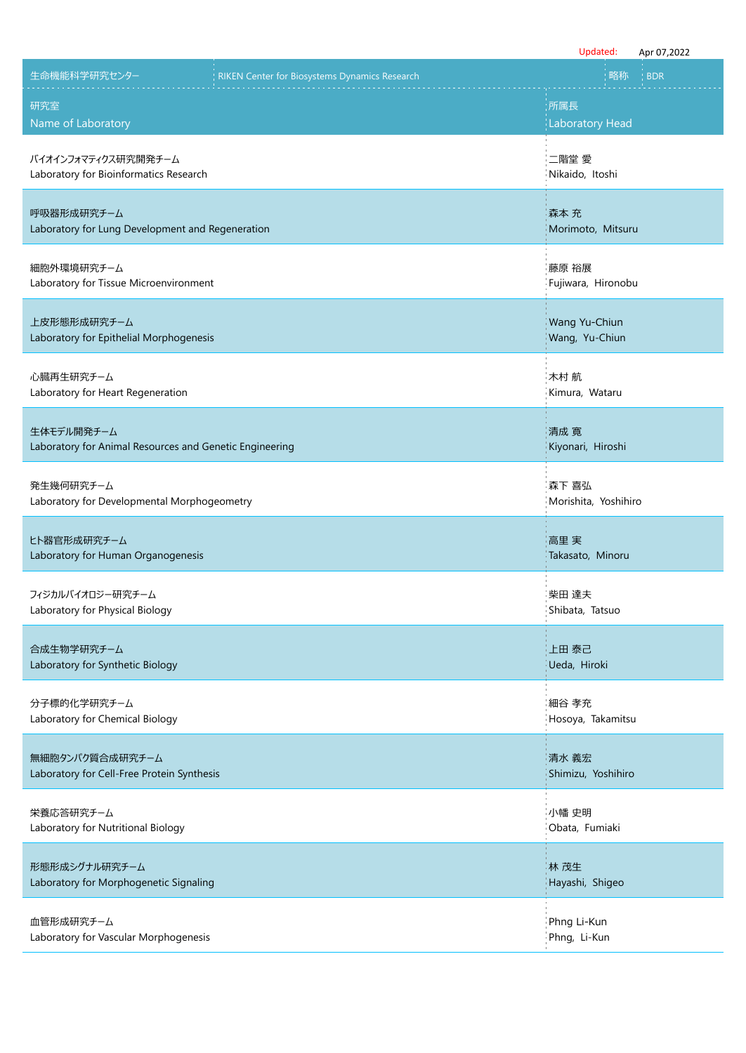|                                                                       |                                                      | Updated:                        | Apr 07,2022 |
|-----------------------------------------------------------------------|------------------------------------------------------|---------------------------------|-------------|
| 生命機能科学研究センター                                                          | <b>RIKEN Center for Biosystems Dynamics Research</b> | 略称                              | <b>BDR</b>  |
| 研究室<br>Name of Laboratory                                             |                                                      | 所属長<br><b>Laboratory Head</b>   |             |
| バイオインフォマティクス研究開発チーム<br>Laboratory for Bioinformatics Research         |                                                      | 二階堂 愛<br>Nikaido, Itoshi        |             |
| 呼吸器形成研究チーム<br>Laboratory for Lung Development and Regeneration        |                                                      | 森本 充<br>Morimoto, Mitsuru       |             |
| 細胞外環境研究チーム<br>Laboratory for Tissue Microenvironment                  |                                                      | 藤原 裕展<br>Fujiwara, Hironobu     |             |
| 上皮形態形成研究チーム<br>Laboratory for Epithelial Morphogenesis                |                                                      | Wang Yu-Chiun<br>Wang, Yu-Chiun |             |
| 心臓再生研究チーム<br>Laboratory for Heart Regeneration                        |                                                      | 木村 航<br>Kimura, Wataru          |             |
| 生体モデル開発チーム<br>Laboratory for Animal Resources and Genetic Engineering |                                                      | 清成 寬<br>Kiyonari, Hiroshi       |             |
| 発生幾何研究チーム<br>Laboratory for Developmental Morphogeometry              |                                                      | 森下 喜弘<br>Morishita, Yoshihiro   |             |
| ヒト器官形成研究チーム<br>Laboratory for Human Organogenesis                     |                                                      | 高里 実<br>Takasato, Minoru        |             |
| フィジカルバイオロジー研究チーム<br>Laboratory for Physical Biology                   |                                                      | 柴田 達夫<br>Shibata, Tatsuo        |             |
| 合成生物学研究チーム<br>Laboratory for Synthetic Biology                        |                                                      | 上田 泰己<br>Ueda, Hiroki           |             |
| 分子標的化学研究チーム<br>Laboratory for Chemical Biology                        |                                                      | 細谷 孝充<br>Hosoya, Takamitsu      |             |
| 無細胞タンパク質合成研究チーム<br>Laboratory for Cell-Free Protein Synthesis         |                                                      | 清水 義宏<br>Shimizu, Yoshihiro     |             |
| 栄養応答研究チーム<br>Laboratory for Nutritional Biology                       |                                                      | 小幡 史明<br>Obata, Fumiaki         |             |
| 形態形成シグナル研究チーム<br>Laboratory for Morphogenetic Signaling               |                                                      | 林 茂生<br>Hayashi, Shigeo         |             |
| 血管形成研究チーム<br>Laboratory for Vascular Morphogenesis                    |                                                      | Phng Li-Kun<br>Phng, Li-Kun     |             |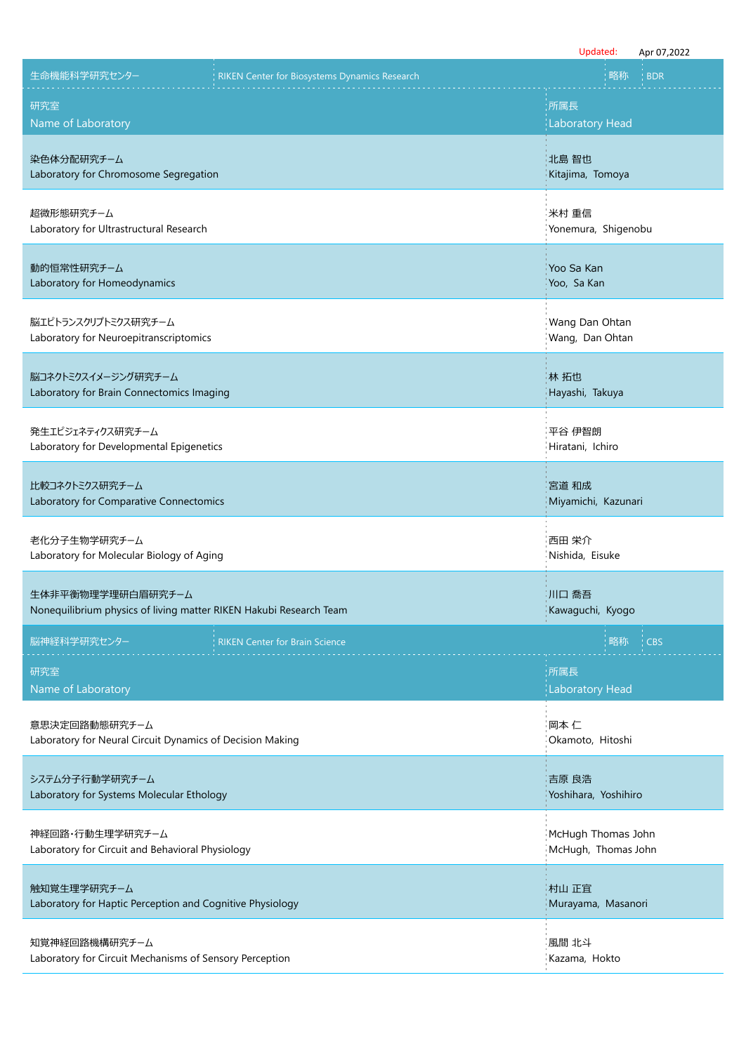|                                                                    | Updated:<br>Apr 07,2022 |
|--------------------------------------------------------------------|-------------------------|
| 生命機能科学研究センター                                                       | 略称                      |
| RIKEN Center for Biosystems Dynamics Research                      | <b>BDR</b>              |
| 研究室                                                                | 所属長                     |
| Name of Laboratory                                                 | <b>Laboratory Head</b>  |
| 染色体分配研究チーム                                                         | 北島 智也                   |
| Laboratory for Chromosome Segregation                              | Kitajima, Tomoya        |
| 超微形態研究チーム                                                          | 米村 重信                   |
| Laboratory for Ultrastructural Research                            | Yonemura, Shigenobu     |
| 動的恒常性研究チーム                                                         | Yoo Sa Kan              |
| Laboratory for Homeodynamics                                       | Yoo, Sa Kan             |
| 脳エピトランスクリプトミクス研究チーム                                                | Wang Dan Ohtan          |
| Laboratory for Neuroepitranscriptomics                             | Wang, Dan Ohtan         |
| 脳コネクトミクスイメージング研究チーム                                                | 林 拓也                    |
| Laboratory for Brain Connectomics Imaging                          | Hayashi, Takuya         |
| 発生エピジェネティクス研究チーム                                                   | 平谷 伊智朗                  |
| Laboratory for Developmental Epigenetics                           | Hiratani, Ichiro        |
| 比較コネクトミクス研究チーム                                                     | 宮道 和成                   |
| Laboratory for Comparative Connectomics                            | Miyamichi, Kazunari     |
| 老化分子生物学研究チーム                                                       | 西田 栄介                   |
| Laboratory for Molecular Biology of Aging                          | Nishida, Eisuke         |
| 生体非平衡物理学理研白眉研究チーム                                                  | 川口 喬吾                   |
| Nonequilibrium physics of living matter RIKEN Hakubi Research Team | Kawaguchi, Kyogo        |
| 脳神経科学研究センター                                                        | 略称                      |
| <b>RIKEN Center for Brain Science</b>                              | <b>CBS</b>              |
| 研究室                                                                | :所属長                    |
| Name of Laboratory                                                 | <b>Laboratory Head</b>  |
| 意思決定回路動態研究チーム                                                      | 岡本 仁                    |
| Laboratory for Neural Circuit Dynamics of Decision Making          | Okamoto, Hitoshi        |
| システム分子行動学研究チーム                                                     | 吉原 良浩                   |
| Laboratory for Systems Molecular Ethology                          | Yoshihara, Yoshihiro    |
| 神経回路・行動生理学研究チーム                                                    | McHugh Thomas John      |
| Laboratory for Circuit and Behavioral Physiology                   | McHugh, Thomas John     |
| 触知覚生理学研究チーム                                                        | 村山 正宜                   |
| Laboratory for Haptic Perception and Cognitive Physiology          | Murayama, Masanori      |
| 知覚神経回路機構研究チーム                                                      | 風間 北斗                   |
| Laboratory for Circuit Mechanisms of Sensory Perception            | Kazama, Hokto           |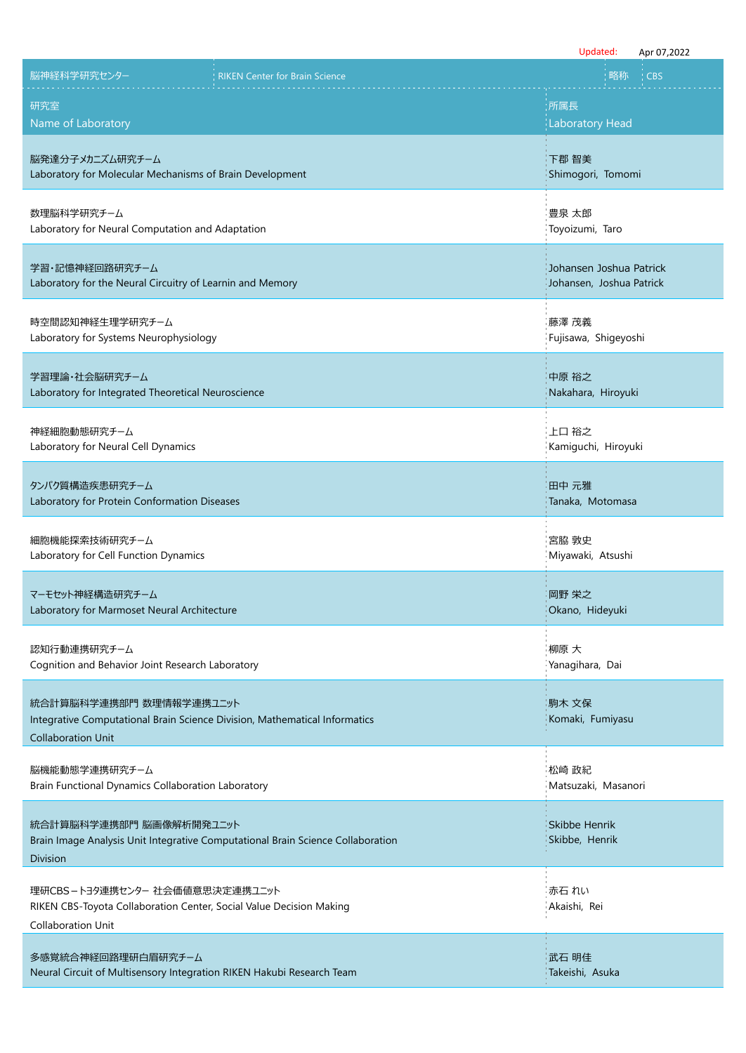|                                                                                                                                    |                                                                                 | Updated:<br>Apr 07,2022                             |
|------------------------------------------------------------------------------------------------------------------------------------|---------------------------------------------------------------------------------|-----------------------------------------------------|
| 脳神経科学研究センター                                                                                                                        | <b>RIKEN Center for Brain Science</b>                                           | 略称<br><b>CBS</b>                                    |
| 研究室<br>Name of Laboratory                                                                                                          |                                                                                 | :所属長<br><b>Laboratory Head</b>                      |
| 脳発達分子メカニズム研究チーム<br>Laboratory for Molecular Mechanisms of Brain Development                                                        |                                                                                 | 下郡 智美<br>Shimogori, Tomomi                          |
| 数理脳科学研究チーム<br>Laboratory for Neural Computation and Adaptation                                                                     |                                                                                 | 豊泉 太郎<br>Toyoizumi, Taro                            |
| 学習・記憶神経回路研究チーム<br>Laboratory for the Neural Circuitry of Learnin and Memory                                                        |                                                                                 | Johansen Joshua Patrick<br>Johansen, Joshua Patrick |
| 時空間認知神経生理学研究チーム<br>Laboratory for Systems Neurophysiology                                                                          |                                                                                 | 藤澤 茂義<br>Fujisawa, Shigeyoshi                       |
| 学習理論・社会脳研究チーム<br>Laboratory for Integrated Theoretical Neuroscience                                                                |                                                                                 | 中原 裕之<br>Nakahara, Hiroyuki                         |
| 神経細胞動態研究チーム<br>Laboratory for Neural Cell Dynamics                                                                                 |                                                                                 | 上口 裕之<br>Kamiguchi, Hiroyuki                        |
| タンパク質構造疾患研究チーム<br>Laboratory for Protein Conformation Diseases                                                                     |                                                                                 | 田中 元雅<br>Tanaka, Motomasa                           |
| 細胞機能探索技術研究チーム<br>Laboratory for Cell Function Dynamics                                                                             |                                                                                 | 宮脇 敦史<br>Miyawaki, Atsushi                          |
| マーモセット神経構造研究チーム<br>Laboratory for Marmoset Neural Architecture                                                                     |                                                                                 | 岡野 栄之<br>Okano, Hideyuki                            |
| 認知行動連携研究チーム<br>Cognition and Behavior Joint Research Laboratory                                                                    |                                                                                 | 柳原 大<br>Yanagihara, Dai                             |
| 統合計算脳科学連携部門 数理情報学連携ユニット<br>Integrative Computational Brain Science Division, Mathematical Informatics<br><b>Collaboration Unit</b> |                                                                                 | 駒木 文保<br>Komaki, Fumiyasu                           |
| 脳機能動態学連携研究チーム<br>Brain Functional Dynamics Collaboration Laboratory                                                                |                                                                                 | 松崎 政紀<br>Matsuzaki, Masanori                        |
| 統合計算脳科学連携部門 脳画像解析開発ユニット<br><b>Division</b>                                                                                         | Brain Image Analysis Unit Integrative Computational Brain Science Collaboration | Skibbe Henrik<br>Skibbe, Henrik                     |
| 理研CBS-トヨタ連携センター 社会価値意思決定連携ユニット<br>RIKEN CBS-Toyota Collaboration Center, Social Value Decision Making<br><b>Collaboration Unit</b> |                                                                                 | 赤石 れい<br>Akaishi, Rei                               |
| 多感覚統合神経回路理研白眉研究チーム<br>Neural Circuit of Multisensory Integration RIKEN Hakubi Research Team                                        |                                                                                 | 武石 明佳<br>Takeishi, Asuka                            |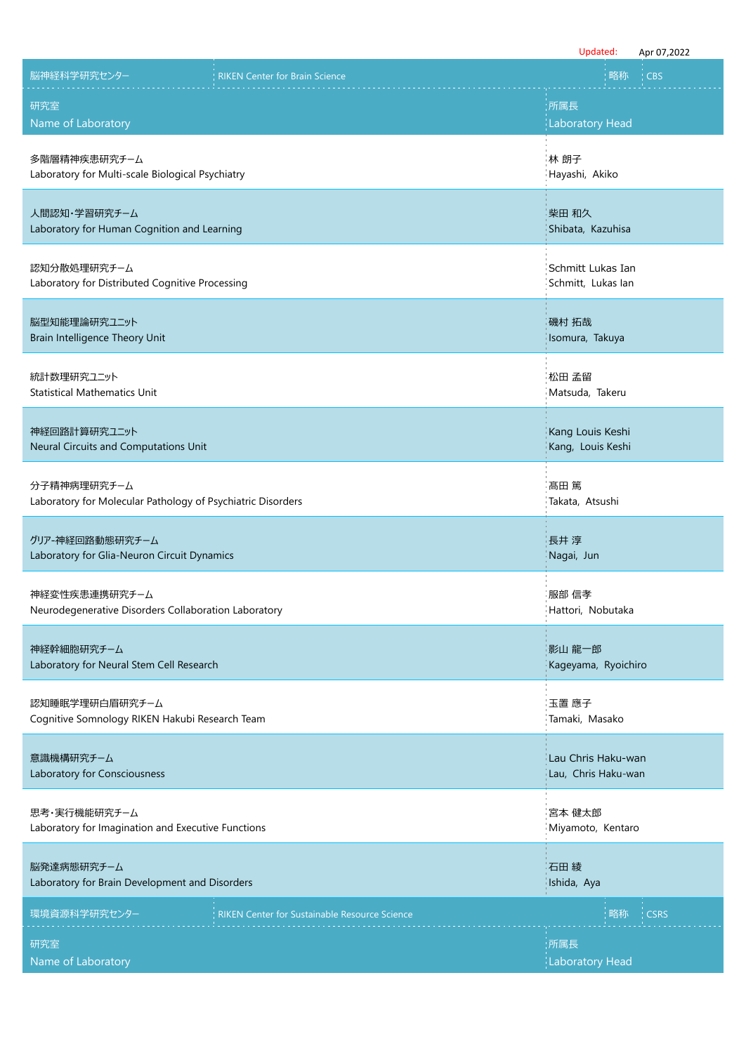|                                                             | Updated:<br>Apr 07,2022 |
|-------------------------------------------------------------|-------------------------|
| 脳神経科学研究センター                                                 | 略称                      |
| <b>RIKEN Center for Brain Science</b>                       | <b>CBS</b>              |
| 研究室                                                         | :所属長                    |
| Name of Laboratory                                          | <b>Laboratory Head</b>  |
| 多階層精神疾患研究チーム                                                | 林 朗子                    |
| Laboratory for Multi-scale Biological Psychiatry            | Hayashi, Akiko          |
| 人間認知・学習研究チーム                                                | 柴田 和久                   |
| Laboratory for Human Cognition and Learning                 | Shibata, Kazuhisa       |
| 認知分散処理研究チーム                                                 | Schmitt Lukas Ian       |
| Laboratory for Distributed Cognitive Processing             | Schmitt, Lukas lan      |
| 脳型知能理論研究ユニット                                                | 磯村 拓哉                   |
| Brain Intelligence Theory Unit                              | Isomura, Takuya         |
| 統計数理研究ユニット                                                  | 松田 孟留                   |
| <b>Statistical Mathematics Unit</b>                         | Matsuda, Takeru         |
| 神経回路計算研究ユニット                                                | Kang Louis Keshi        |
| Neural Circuits and Computations Unit                       | Kang, Louis Keshi       |
| 分子精神病理研究チーム                                                 | 髙田 篤                    |
| Laboratory for Molecular Pathology of Psychiatric Disorders | Takata, Atsushi         |
| グリア-神経回路動態研究チーム                                             | 長井 淳                    |
| Laboratory for Glia-Neuron Circuit Dynamics                 | Nagai, Jun              |
| 神経変性疾患連携研究チーム                                               | 服部 信孝                   |
| Neurodegenerative Disorders Collaboration Laboratory        | Hattori, Nobutaka       |
| 神経幹細胞研究チーム                                                  | 影山 龍一郎                  |
| Laboratory for Neural Stem Cell Research                    | Kageyama, Ryoichiro     |
| 認知睡眠学理研白眉研究チーム                                              | 玉置 應子                   |
| Cognitive Somnology RIKEN Hakubi Research Team              | Tamaki, Masako          |
| 意識機構研究チーム                                                   | Lau Chris Haku-wan      |
| Laboratory for Consciousness                                | Lau, Chris Haku-wan     |
| 思考・実行機能研究チーム                                                | 宮本 健太郎                  |
| Laboratory for Imagination and Executive Functions          | Miyamoto, Kentaro       |
| 脳発達病態研究チーム                                                  | 石田綾                     |
| Laboratory for Brain Development and Disorders              | Ishida, Aya             |
| 環境資源科学研究センター                                                | 略称                      |
| <b>RIKEN Center for Sustainable Resource Science</b>        | <b>CSRS</b>             |
| 研究室                                                         | 所属長                     |
| Name of Laboratory                                          | <b>Laboratory Head</b>  |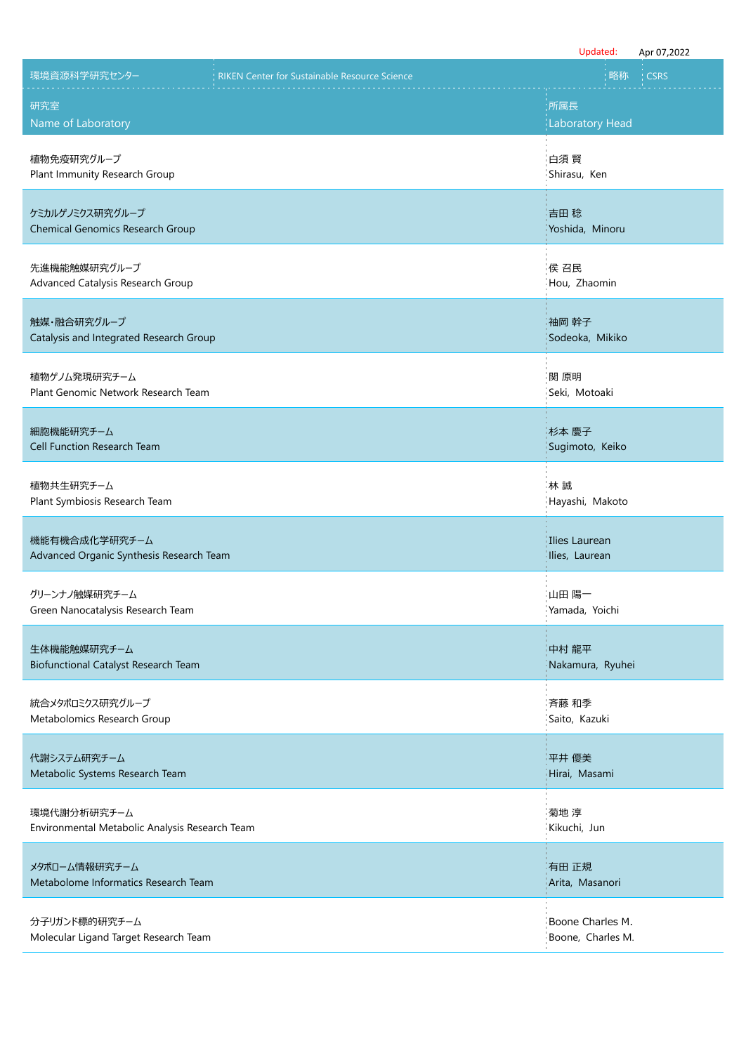|                                                               |                                                      | Updated:                              | Apr 07,2022 |
|---------------------------------------------------------------|------------------------------------------------------|---------------------------------------|-------------|
| 環境資源科学研究センター                                                  | <b>RIKEN Center for Sustainable Resource Science</b> | 略称                                    | <b>CSRS</b> |
| 研究室<br>Name of Laboratory                                     |                                                      | :所属長<br><b>Laboratory Head</b>        |             |
| 植物免疫研究グループ<br>Plant Immunity Research Group                   |                                                      | 白須 賢<br>Shirasu, Ken                  |             |
| ケミカルゲノミクス研究グループ<br><b>Chemical Genomics Research Group</b>    |                                                      | 吉田 稔<br>Yoshida, Minoru               |             |
| 先進機能触媒研究グループ<br>Advanced Catalysis Research Group             |                                                      | 侯召民<br>Hou, Zhaomin                   |             |
| 触媒・融合研究グループ<br>Catalysis and Integrated Research Group        |                                                      | 袖岡 幹子<br>Sodeoka, Mikiko              |             |
| 植物ゲノム発現研究チーム<br>Plant Genomic Network Research Team           |                                                      | 関 原明<br>Seki, Motoaki                 |             |
| 細胞機能研究チーム<br>Cell Function Research Team                      |                                                      | 杉本 慶子<br>Sugimoto, Keiko              |             |
| 植物共生研究チーム<br>Plant Symbiosis Research Team                    |                                                      | 林誠<br>Hayashi, Makoto                 |             |
| 機能有機合成化学研究チーム<br>Advanced Organic Synthesis Research Team     |                                                      | Ilies Laurean<br>Ilies, Laurean       |             |
| グリーンナノ触媒研究チーム<br>Green Nanocatalysis Research Team            |                                                      | 山田 陽一<br>Yamada, Yoichi               |             |
| 生体機能触媒研究チーム<br>Biofunctional Catalyst Research Team           |                                                      | 中村 龍平<br>Nakamura, Ryuhei             |             |
| 統合メタボロミクス研究グループ<br>Metabolomics Research Group                |                                                      | 斉藤 和季<br>Saito, Kazuki                |             |
| 代謝システム研究チーム<br>Metabolic Systems Research Team                |                                                      | 平井 優美<br>Hirai, Masami                |             |
| 環境代謝分析研究チーム<br>Environmental Metabolic Analysis Research Team |                                                      | 菊地 淳<br>Kikuchi, Jun                  |             |
| メタボローム情報研究チーム<br>Metabolome Informatics Research Team         |                                                      | 有田 正規<br>Arita, Masanori              |             |
| 分子リガンド標的研究チーム<br>Molecular Ligand Target Research Team        |                                                      | Boone Charles M.<br>Boone, Charles M. |             |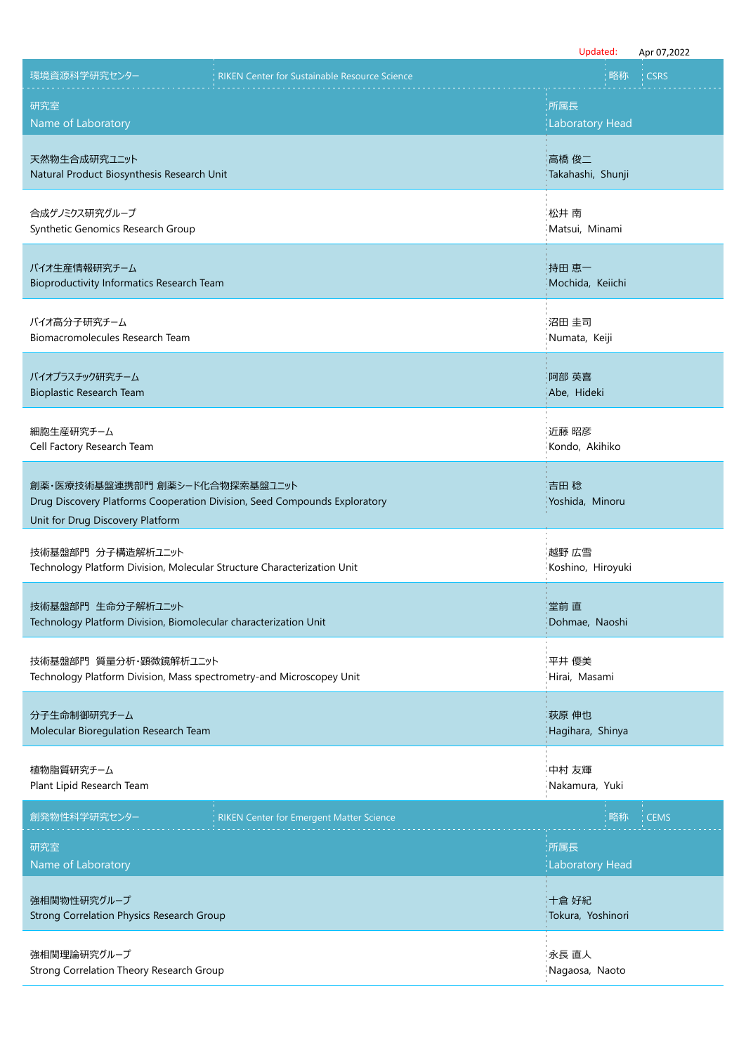|                                                                                                                                                 |                                                      | Updated:                       | Apr 07,2022 |
|-------------------------------------------------------------------------------------------------------------------------------------------------|------------------------------------------------------|--------------------------------|-------------|
| 環境資源科学研究センター                                                                                                                                    | <b>RIKEN Center for Sustainable Resource Science</b> | 略称                             | <b>CSRS</b> |
| 研究室<br>Name of Laboratory                                                                                                                       |                                                      | :所属長<br><b>Laboratory Head</b> |             |
| 天然物生合成研究ユニット<br>Natural Product Biosynthesis Research Unit                                                                                      |                                                      | 高橋 俊二<br>Takahashi, Shunji     |             |
| 合成ゲノミクス研究グループ<br>Synthetic Genomics Research Group                                                                                              |                                                      | 松井 南<br>Matsui, Minami         |             |
| バイオ生産情報研究チーム<br>Bioproductivity Informatics Research Team                                                                                       |                                                      | 持田 恵一<br>Mochida, Keiichi      |             |
| バイオ高分子研究チーム<br>Biomacromolecules Research Team                                                                                                  |                                                      | 沼田 圭司<br>Numata, Keiji         |             |
| バイオプラスチック研究チーム<br>Bioplastic Research Team                                                                                                      |                                                      | 阿部 英喜<br>Abe, Hideki           |             |
| 細胞生産研究チーム<br>Cell Factory Research Team                                                                                                         |                                                      | 近藤 昭彦<br>Kondo, Akihiko        |             |
| 創薬・医療技術基盤連携部門 創薬シード化合物探索基盤ユニット<br>Drug Discovery Platforms Cooperation Division, Seed Compounds Exploratory<br>Unit for Drug Discovery Platform |                                                      | 吉田 稔<br>Yoshida, Minoru        |             |
| 技術基盤部門 分子構造解析ユニット<br>Technology Platform Division, Molecular Structure Characterization Unit                                                    |                                                      | 越野 広雪<br>Koshino, Hiroyuki     |             |
| 技術基盤部門 生命分子解析ユニット<br>Technology Platform Division, Biomolecular characterization Unit                                                           |                                                      | 堂前 直<br>Dohmae, Naoshi         |             |
| 技術基盤部門 質量分析・顕微鏡解析ユニット<br>Technology Platform Division, Mass spectrometry-and Microscopey Unit                                                   |                                                      | 平井 優美<br>Hirai, Masami         |             |
| 分子生命制御研究チーム<br>Molecular Bioregulation Research Team                                                                                            |                                                      | 萩原 伸也<br>Hagihara, Shinya      |             |
| 植物脂質研究チーム<br>Plant Lipid Research Team                                                                                                          |                                                      | 中村 友輝<br>Nakamura, Yuki        |             |
| 創発物性科学研究センター                                                                                                                                    | <b>RIKEN Center for Emergent Matter Science</b>      | 略称                             | <b>CEMS</b> |
| 研究室<br>Name of Laboratory                                                                                                                       |                                                      | ;所属長<br><b>Laboratory Head</b> |             |
| 強相関物性研究グループ<br><b>Strong Correlation Physics Research Group</b>                                                                                 |                                                      | 十倉 好紀<br>Tokura, Yoshinori     |             |
| 強相関理論研究グループ<br>Strong Correlation Theory Research Group                                                                                         |                                                      | 永長 直人<br>Nagaosa, Naoto        |             |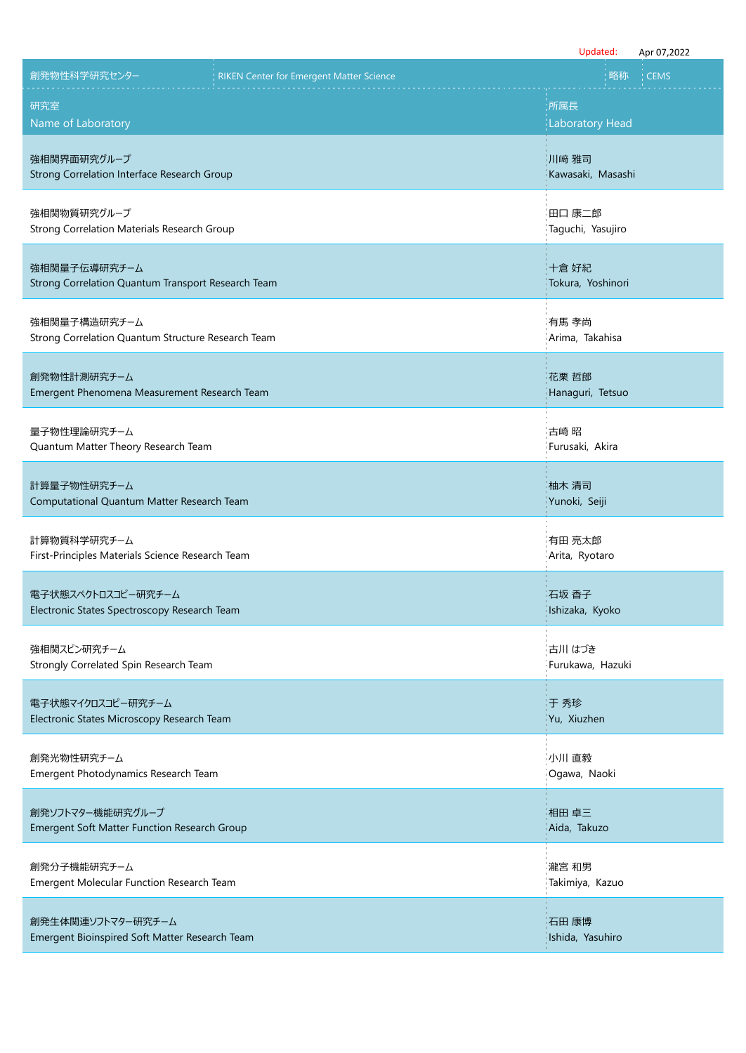|                                                                     |                                          | Updated:                    | Apr 07,2022 |
|---------------------------------------------------------------------|------------------------------------------|-----------------------------|-------------|
| 創発物性科学研究センター                                                        | RIKEN Center for Emergent Matter Science | 略称                          | <b>CEMS</b> |
| 研究室                                                                 |                                          | :所属長                        |             |
| Name of Laboratory                                                  |                                          | <b>Laboratory Head</b>      |             |
| 強相関界面研究グループ<br>Strong Correlation Interface Research Group          |                                          | 川﨑 雅司<br>Kawasaki, Masashi  |             |
| 強相関物質研究グループ<br>Strong Correlation Materials Research Group          |                                          | 田口 康二郎<br>Taguchi, Yasujiro |             |
| 強相関量子伝導研究チーム<br>Strong Correlation Quantum Transport Research Team  |                                          | 十倉 好紀<br>Tokura, Yoshinori  |             |
| 強相関量子構造研究チーム<br>Strong Correlation Quantum Structure Research Team  |                                          | 有馬 孝尚<br>Arima, Takahisa    |             |
| 創発物性計測研究チーム<br>Emergent Phenomena Measurement Research Team         |                                          | 花栗 哲郎<br>Hanaguri, Tetsuo   |             |
| 量子物性理論研究チーム<br>Quantum Matter Theory Research Team                  |                                          | 古崎 昭<br>Furusaki, Akira     |             |
| 計算量子物性研究チーム<br>Computational Quantum Matter Research Team           |                                          | 柚木 清司<br>Yunoki, Seiji      |             |
| 計算物質科学研究チーム<br>First-Principles Materials Science Research Team     |                                          | 有田 亮太郎<br>Arita, Ryotaro    |             |
| 電子状態スペクトロスコピー研究チーム<br>Electronic States Spectroscopy Research Team  |                                          | 石坂 香子<br>Ishizaka, Kyoko    |             |
| 強相関スピン研究チーム<br>Strongly Correlated Spin Research Team               |                                          | 古川 はづき<br>Furukawa, Hazuki  |             |
| 電子状態マイクロスコピー研究チーム<br>Electronic States Microscopy Research Team     |                                          | 于 秀珍<br>Yu, Xiuzhen         |             |
| 創発光物性研究チーム<br>Emergent Photodynamics Research Team                  |                                          | 小川 直毅<br>Ogawa, Naoki       |             |
| 創発ソフトマター機能研究グループ<br>Emergent Soft Matter Function Research Group    |                                          | 相田 卓三<br>Aida, Takuzo       |             |
| 創発分子機能研究チーム<br>Emergent Molecular Function Research Team            |                                          | 瀧宮 和男<br>Takimiya, Kazuo    |             |
| 創発生体関連ソフトマター研究チーム<br>Emergent Bioinspired Soft Matter Research Team |                                          | 石田 康博<br>Ishida, Yasuhiro   |             |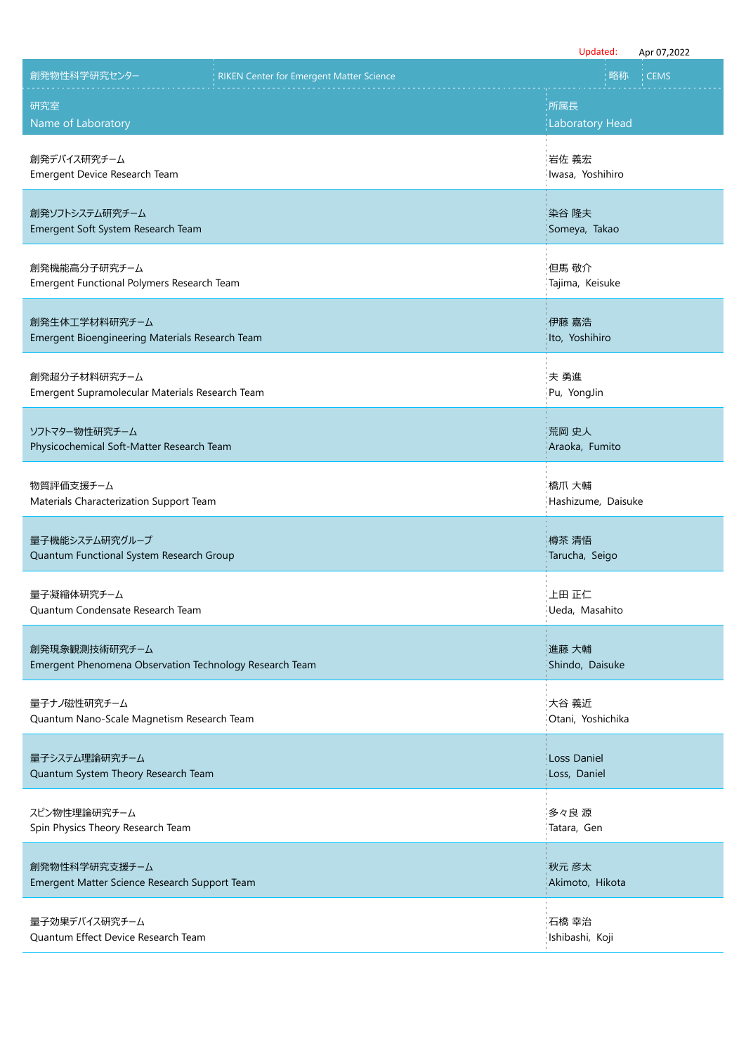|                                                                          |                                          | Updated:                           | Apr 07,2022 |
|--------------------------------------------------------------------------|------------------------------------------|------------------------------------|-------------|
| 創発物性科学研究センター                                                             | RIKEN Center for Emergent Matter Science | 略称                                 | <b>CEMS</b> |
| 研究室<br>Name of Laboratory                                                |                                          | :所属長<br><b>Laboratory Head</b>     |             |
| 創発デバイス研究チーム<br>Emergent Device Research Team                             |                                          | 岩佐 義宏<br>Iwasa, Yoshihiro          |             |
| 創発ソフトシステム研究チーム<br>Emergent Soft System Research Team                     |                                          | 染谷 隆夫<br>Someya, Takao             |             |
| 創発機能高分子研究チーム<br>Emergent Functional Polymers Research Team               |                                          | 但馬 敬介<br>Tajima, Keisuke           |             |
| 創発生体工学材料研究チーム<br>Emergent Bioengineering Materials Research Team         |                                          | 伊藤 嘉浩<br>Ito, Yoshihiro            |             |
| 創発超分子材料研究チーム<br>Emergent Supramolecular Materials Research Team          |                                          | 夫 勇進<br>Pu, YongJin                |             |
| ソフトマター物性研究チーム<br>Physicochemical Soft-Matter Research Team               |                                          | 荒岡 史人<br>Araoka, Fumito            |             |
| 物質評価支援チーム<br>Materials Characterization Support Team                     |                                          | 橋爪 大輔<br>Hashizume, Daisuke        |             |
| 量子機能システム研究グループ<br>Quantum Functional System Research Group               |                                          | 樽茶 清悟<br>Tarucha, Seigo            |             |
| 量子凝縮体研究チーム<br>Quantum Condensate Research Team                           |                                          | 上田 正仁<br>Ueda, Masahito            |             |
| 創発現象観測技術研究チーム<br>Emergent Phenomena Observation Technology Research Team |                                          | 進藤 大輔<br>Shindo, Daisuke           |             |
| 量子ナノ磁性研究チーム<br>Quantum Nano-Scale Magnetism Research Team                |                                          | 大谷 義近<br>Otani, Yoshichika         |             |
| 量子システム理論研究チーム<br>Quantum System Theory Research Team                     |                                          | <b>Loss Daniel</b><br>Loss, Daniel |             |
| スピン物性理論研究チーム<br>Spin Physics Theory Research Team                        |                                          | 多々良 源<br>Tatara, Gen               |             |
| 創発物性科学研究支援チーム<br>Emergent Matter Science Research Support Team           |                                          | 秋元 彦太<br>Akimoto, Hikota           |             |
| 量子効果デバイス研究チーム<br>Quantum Effect Device Research Team                     |                                          | 石橋 幸治<br>Ishibashi, Koji           |             |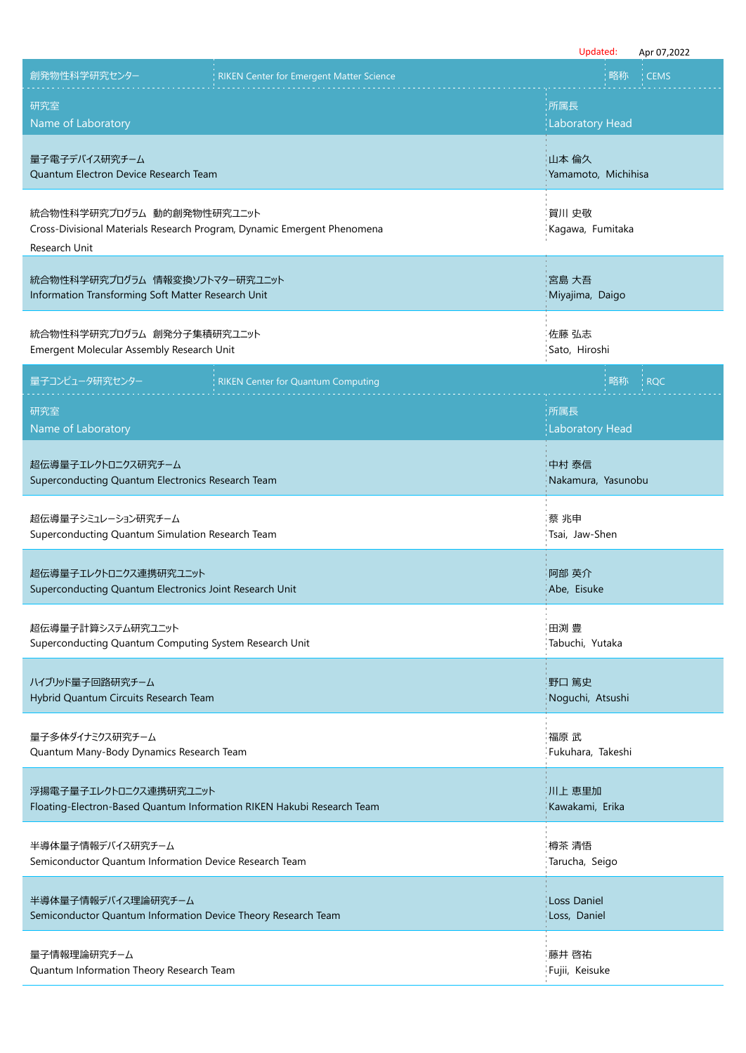|                                                                                                                        |                                                 |                                    | Updated: | Apr 07,2022 |
|------------------------------------------------------------------------------------------------------------------------|-------------------------------------------------|------------------------------------|----------|-------------|
| 創発物性科学研究センター                                                                                                           | <b>RIKEN Center for Emergent Matter Science</b> |                                    | 略称       | <b>CEMS</b> |
| 研究室<br>Name of Laboratory                                                                                              |                                                 | :所属長<br><b>Laboratory Head</b>     |          |             |
| 量子電子デバイス研究チーム<br>Quantum Electron Device Research Team                                                                 |                                                 | 山本 倫久<br>Yamamoto, Michihisa       |          |             |
| 統合物性科学研究プログラム 動的創発物性研究ユニット<br>Cross-Divisional Materials Research Program, Dynamic Emergent Phenomena<br>Research Unit |                                                 | 賀川 史敬<br>Kagawa, Fumitaka          |          |             |
| 統合物性科学研究プログラム 情報変換ソフトマター研究ユニット<br>Information Transforming Soft Matter Research Unit                                   |                                                 | 宮島 大吾<br>Miyajima, Daigo           |          |             |
| 統合物性科学研究プログラム 創発分子集積研究ユニット<br>Emergent Molecular Assembly Research Unit                                                |                                                 | 佐藤 弘志<br>Sato, Hiroshi             |          |             |
| 量子コンピュータ研究センター                                                                                                         | <b>RIKEN Center for Quantum Computing</b>       |                                    | 略称       | <b>RQC</b>  |
| 研究室<br>Name of Laboratory                                                                                              |                                                 | 所属長<br><b>Laboratory Head</b>      |          |             |
| 超伝導量子エレクトロニクス研究チーム<br>Superconducting Quantum Electronics Research Team                                                |                                                 | 中村 泰信<br>Nakamura, Yasunobu        |          |             |
| 超伝導量子シミュレーション研究チーム<br>Superconducting Quantum Simulation Research Team                                                 |                                                 | 蔡 兆申<br>Tsai, Jaw-Shen             |          |             |
| 超伝導量子エレクトロニクス連携研究ユニット<br>Superconducting Quantum Electronics Joint Research Unit                                       |                                                 | 阿部 英介<br>Abe, Eisuke               |          |             |
| 超伝導量子計算システム研究ユニット<br>Superconducting Quantum Computing System Research Unit                                            |                                                 | 田渕 豊<br>Tabuchi, Yutaka            |          |             |
| ハイブリッド量子回路研究チーム<br>Hybrid Quantum Circuits Research Team                                                               |                                                 | 野口 篤史<br>Noguchi, Atsushi          |          |             |
| 量子多体ダイナミクス研究チーム<br>Quantum Many-Body Dynamics Research Team                                                            |                                                 | 福原 武<br>Fukuhara, Takeshi          |          |             |
| 浮揚電子量子エレクトロニクス連携研究ユニット<br>Floating-Electron-Based Quantum Information RIKEN Hakubi Research Team                       |                                                 | 川上 恵里加<br>Kawakami, Erika          |          |             |
| 半導体量子情報デバイス研究チーム<br>Semiconductor Quantum Information Device Research Team                                             |                                                 | 樽茶 清悟<br>Tarucha, Seigo            |          |             |
| 半導体量子情報デバイス理論研究チーム<br>Semiconductor Quantum Information Device Theory Research Team                                    |                                                 | <b>Loss Daniel</b><br>Loss, Daniel |          |             |
| 量子情報理論研究チーム<br>Quantum Information Theory Research Team                                                                |                                                 | 藤井 啓祐<br>Fujii, Keisuke            |          |             |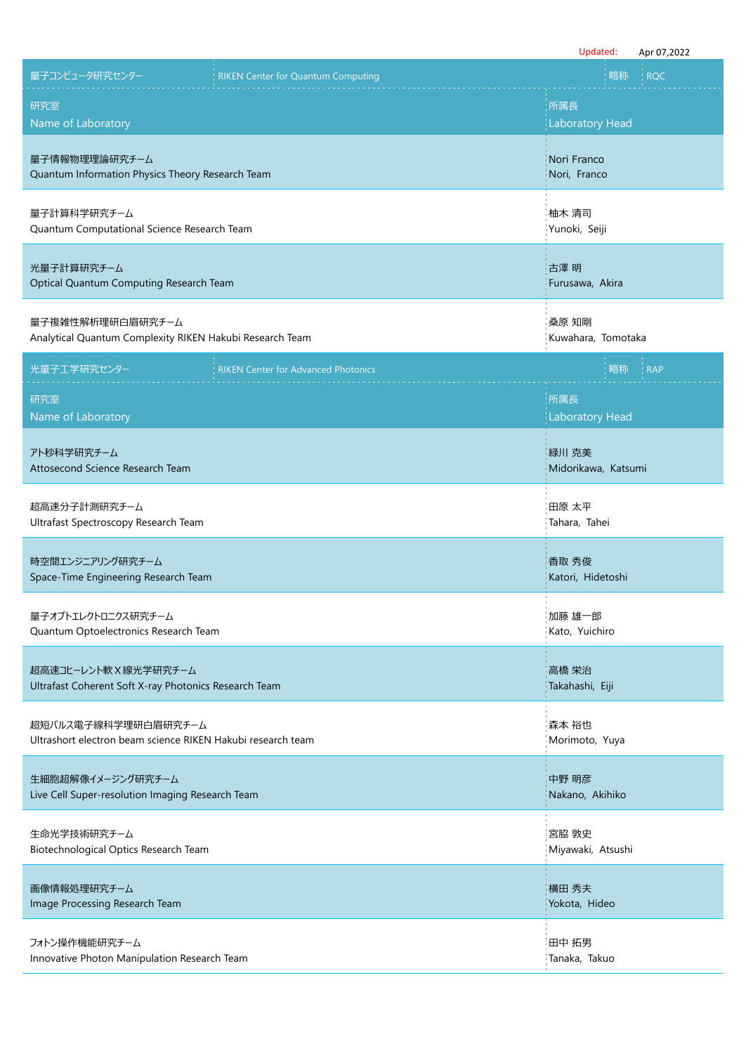|                                                                                    |                                            | Updated:                      | Apr 07,2022 |
|------------------------------------------------------------------------------------|--------------------------------------------|-------------------------------|-------------|
| 量子コンピュータ研究センター                                                                     | <b>RIKEN Center for Quantum Computing</b>  | 略称                            | <b>RQC</b>  |
| 研究室<br>Name of Laboratory                                                          |                                            | 所属長<br><b>Laboratory Head</b> |             |
| 量子情報物理理論研究チーム<br>Quantum Information Physics Theory Research Team                  |                                            | Nori Franco<br>Nori, Franco   |             |
| 量子計算科学研究チーム<br>Quantum Computational Science Research Team                         |                                            | 柚木 清司<br>Yunoki, Seiji        |             |
| 光量子計算研究チーム<br>Optical Quantum Computing Research Team                              |                                            | 古澤 明<br>Furusawa, Akira       |             |
| 量子複雑性解析理研白眉研究チーム<br>Analytical Quantum Complexity RIKEN Hakubi Research Team       |                                            | 桑原 知剛<br>Kuwahara, Tomotaka   |             |
| 光量子工学研究センター                                                                        | <b>RIKEN Center for Advanced Photonics</b> | 略称                            | <b>RAP</b>  |
| 研究室<br>Name of Laboratory                                                          |                                            | 所属長<br><b>Laboratory Head</b> |             |
| アト秒科学研究チーム<br>Attosecond Science Research Team                                     |                                            | 緑川 克美<br>Midorikawa, Katsumi  |             |
| 超高速分子計測研究チーム<br>Ultrafast Spectroscopy Research Team                               |                                            | 田原 太平<br>Tahara, Tahei        |             |
| 時空間エンジニアリング研究チーム<br>Space-Time Engineering Research Team                           |                                            | 香取 秀俊<br>Katori, Hidetoshi    |             |
| 量子オプトエレクトロニクス研究チーム<br>Quantum Optoelectronics Research Team                        |                                            | 加藤 雄一郎<br>Kato, Yuichiro      |             |
| 超高速コヒーレント軟 X 線光学研究チーム<br>Ultrafast Coherent Soft X-ray Photonics Research Team     |                                            | 高橋 栄治<br>Takahashi, Eiji      |             |
| 超短パルス電子線科学理研白眉研究チーム<br>Ultrashort electron beam science RIKEN Hakubi research team |                                            | 森本 裕也<br>Morimoto, Yuya       |             |
| 生細胞超解像イメージング研究チーム<br>Live Cell Super-resolution Imaging Research Team              |                                            | 中野 明彦<br>Nakano, Akihiko      |             |
| 生命光学技術研究チーム<br>Biotechnological Optics Research Team                               |                                            | 宮脇 敦史<br>Miyawaki, Atsushi    |             |
| 画像情報処理研究チーム<br>Image Processing Research Team                                      |                                            | 横田 秀夫<br>Yokota, Hideo        |             |
| フォトン操作機能研究チーム<br>Innovative Photon Manipulation Research Team                      |                                            | 田中 拓男<br>Tanaka, Takuo        |             |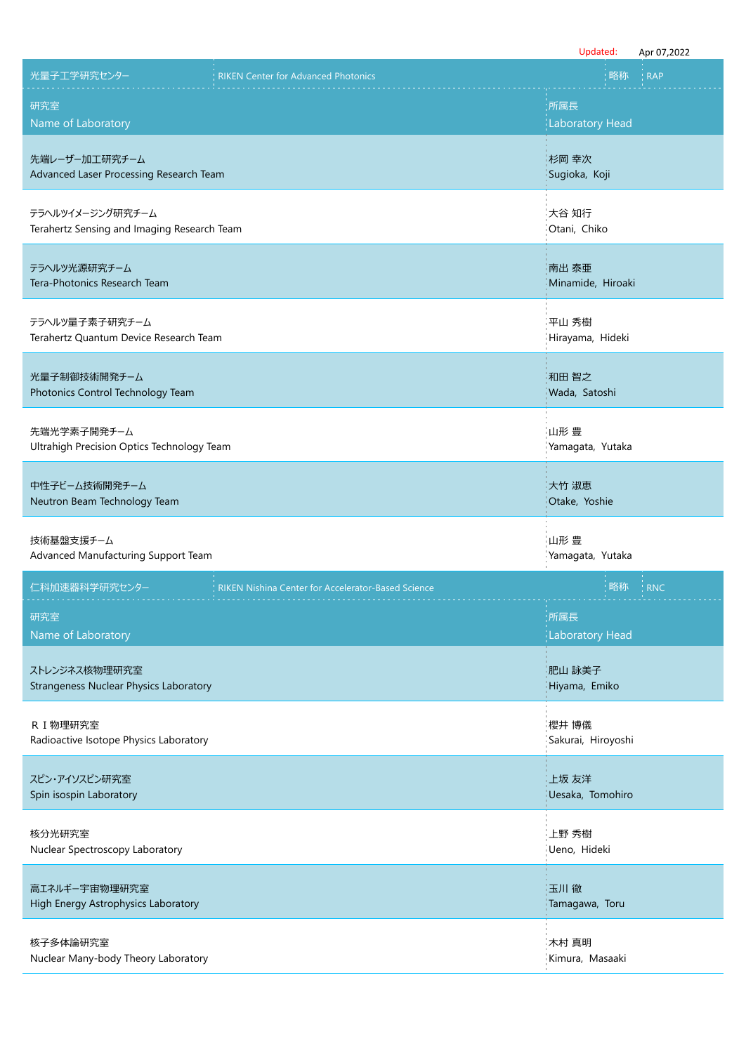|                                                           | Updated:<br>Apr 07,2022 |
|-----------------------------------------------------------|-------------------------|
| 光量子工学研究センター                                               | 略称                      |
| <b>RIKEN Center for Advanced Photonics</b>                | <b>RAP</b>              |
| 研究室                                                       | 所属長                     |
| Name of Laboratory                                        | <b>Laboratory Head</b>  |
| 先端レーザー加工研究チーム                                             | 杉岡 幸次                   |
| Advanced Laser Processing Research Team                   | Sugioka, Koji           |
| テラヘルツイメージング研究チーム                                          | 大谷 知行                   |
| Terahertz Sensing and Imaging Research Team               | Otani, Chiko            |
| テラヘルツ光源研究チーム                                              | 南出 泰亜                   |
| Tera-Photonics Research Team                              | Minamide, Hiroaki       |
| テラヘルツ量子素子研究チーム                                            | 平山 秀樹                   |
| Terahertz Quantum Device Research Team                    | Hirayama, Hideki        |
| 光量子制御技術開発チーム                                              | 和田 智之                   |
| Photonics Control Technology Team                         | Wada, Satoshi           |
| 先端光学素子開発チーム                                               | 山形 豊                    |
| Ultrahigh Precision Optics Technology Team                | Yamagata, Yutaka        |
| 中性子ビーム技術開発チーム                                             | 大竹 淑恵                   |
| Neutron Beam Technology Team                              | Otake, Yoshie           |
| 技術基盤支援チーム                                                 | 山形 豊                    |
| Advanced Manufacturing Support Team                       | Yamagata, Yutaka        |
| 仁科加速器科学研究センター                                             | 略称                      |
| <b>RIKEN Nishina Center for Accelerator-Based Science</b> | <b>RNC</b>              |
| 研究室                                                       | 所属長                     |
| Name of Laboratory                                        | <b>Laboratory Head</b>  |
| ストレンジネス核物理研究室                                             | 肥山 詠美子                  |
| <b>Strangeness Nuclear Physics Laboratory</b>             | Hiyama, Emiko           |
| R I 物理研究室                                                 | 櫻井 博儀                   |
| Radioactive Isotope Physics Laboratory                    | Sakurai, Hiroyoshi      |
| スピン・アイソスピン研究室                                             | 上坂 友洋                   |
| Spin isospin Laboratory                                   | Uesaka, Tomohiro        |
| 核分光研究室                                                    | 上野 秀樹                   |
| Nuclear Spectroscopy Laboratory                           | Ueno, Hideki            |
| 高エネルギー宇宙物理研究室                                             | 玉川徹                     |
| High Energy Astrophysics Laboratory                       | Tamagawa, Toru          |
| 核子多体論研究室                                                  | 木村 真明                   |
| Nuclear Many-body Theory Laboratory                       | Kimura, Masaaki         |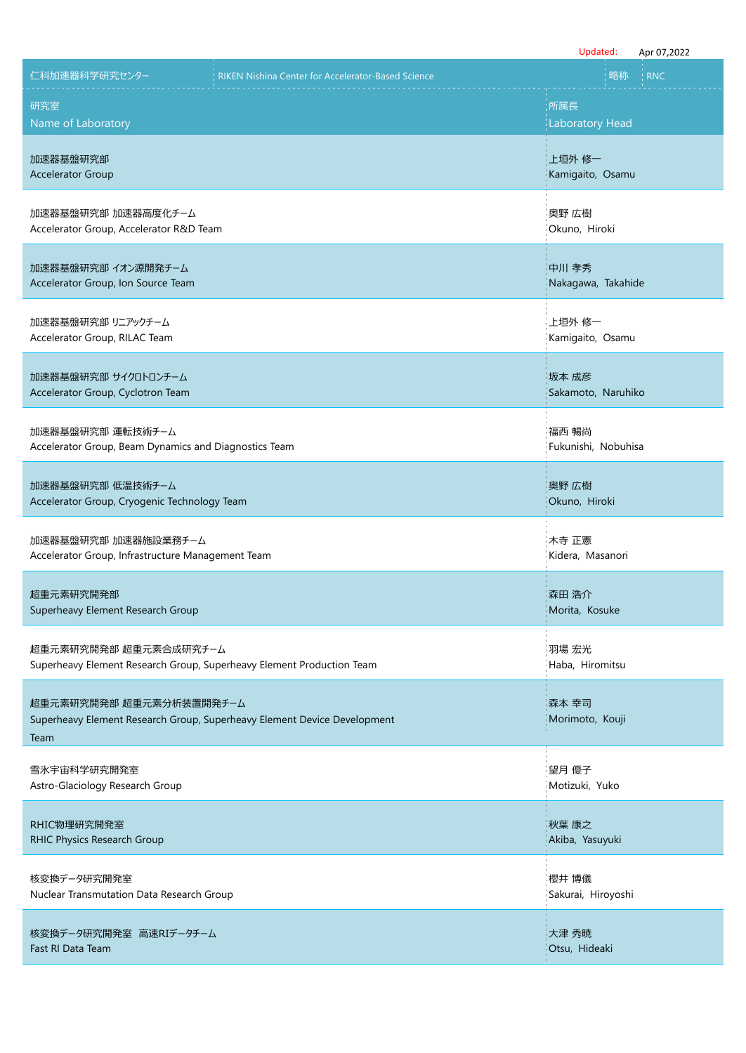|                                                                                                |                                                                          | Updated:<br>Apr 07,2022   |
|------------------------------------------------------------------------------------------------|--------------------------------------------------------------------------|---------------------------|
| 仁科加速器科学研究センター                                                                                  | <b>RIKEN Nishina Center for Accelerator-Based Science</b>                | 略称<br><b>RNC</b>          |
| 研究室                                                                                            |                                                                          | :所属長                      |
| Name of Laboratory                                                                             |                                                                          | <b>Laboratory Head</b>    |
| 加速器基盤研究部                                                                                       |                                                                          | 上垣外 修一                    |
| <b>Accelerator Group</b>                                                                       |                                                                          | Kamigaito, Osamu          |
| 加速器基盤研究部 加速器高度化チーム                                                                             |                                                                          | 奥野 広樹                     |
| Accelerator Group, Accelerator R&D Team                                                        |                                                                          | Okuno, Hiroki             |
| 加速器基盤研究部 イオン源開発チーム                                                                             |                                                                          | 中川 孝秀                     |
| Accelerator Group, Ion Source Team                                                             |                                                                          | Nakagawa, Takahide        |
| 加速器基盤研究部 リニアックチーム                                                                              |                                                                          | 上垣外 修一                    |
| Accelerator Group, RILAC Team                                                                  |                                                                          | Kamigaito, Osamu          |
| 加速器基盤研究部 サイクロトロンチーム                                                                            |                                                                          | 坂本 成彦                     |
| Accelerator Group, Cyclotron Team                                                              |                                                                          | Sakamoto, Naruhiko        |
| 加速器基盤研究部 運転技術チーム                                                                               |                                                                          | 福西 暢尚                     |
| Accelerator Group, Beam Dynamics and Diagnostics Team                                          |                                                                          | Fukunishi, Nobuhisa       |
| 加速器基盤研究部 低温技術チーム                                                                               |                                                                          | 奥野 広樹                     |
| Accelerator Group, Cryogenic Technology Team                                                   |                                                                          | Okuno, Hiroki             |
|                                                                                                |                                                                          |                           |
| 加速器基盤研究部 加速器施設業務チーム<br>Accelerator Group, Infrastructure Management Team                       |                                                                          | 木寺 正憲<br>Kidera, Masanori |
|                                                                                                |                                                                          |                           |
| 超重元素研究開発部<br>Superheavy Element Research Group                                                 |                                                                          | 森田 浩介<br>Morita, Kosuke   |
|                                                                                                |                                                                          |                           |
| 超重元素研究開発部 超重元素合成研究チーム<br>Superheavy Element Research Group, Superheavy Element Production Team |                                                                          | 羽場 宏光<br>Haba, Hiromitsu  |
|                                                                                                |                                                                          |                           |
| 超重元素研究開発部 超重元素分析装置開発チーム                                                                        | Superheavy Element Research Group, Superheavy Element Device Development | 森本 幸司<br>Morimoto, Kouji  |
| Team                                                                                           |                                                                          |                           |
| 雪氷宇宙科学研究開発室                                                                                    |                                                                          | 望月 優子                     |
| Astro-Glaciology Research Group                                                                |                                                                          | Motizuki, Yuko            |
| RHIC物理研究開発室                                                                                    |                                                                          | 秋葉 康之                     |
| RHIC Physics Research Group                                                                    |                                                                          | Akiba, Yasuyuki           |
| 核変換データ研究開発室                                                                                    |                                                                          | 櫻井 博儀                     |
| Nuclear Transmutation Data Research Group                                                      |                                                                          | Sakurai, Hiroyoshi        |
| 核変換データ研究開発室 高速RIデータチーム                                                                         |                                                                          | 大津 秀暁                     |
| Fast RI Data Team                                                                              |                                                                          | Otsu, Hideaki             |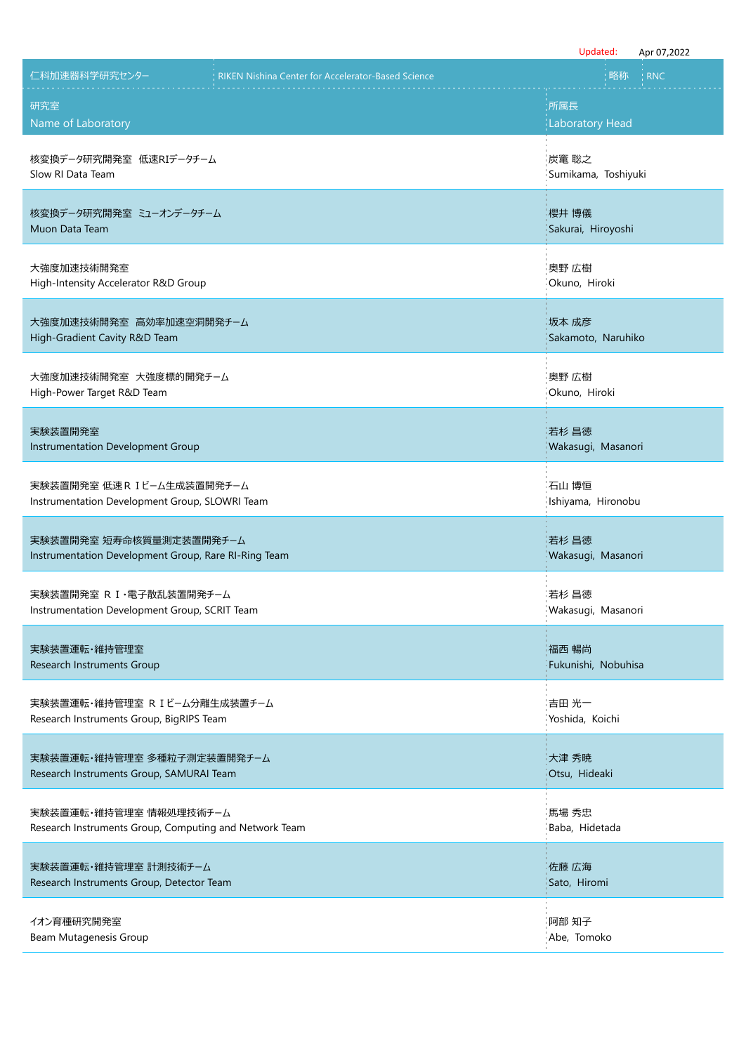|                                                           | Updated:<br>Apr 07,2022 |
|-----------------------------------------------------------|-------------------------|
| 仁科加速器科学研究センター                                             | 略称                      |
| <b>RIKEN Nishina Center for Accelerator-Based Science</b> | <b>RNC</b>              |
| 研究室                                                       | :所属長                    |
| Name of Laboratory                                        | <b>Laboratory Head</b>  |
| 核変換データ研究開発室 低速RIデータチーム                                    | 炭竃 聡之                   |
| Slow RI Data Team                                         | Sumikama, Toshiyuki     |
| 核変換データ研究開発室 ミューオンデータチーム                                   | 櫻井 博儀                   |
| Muon Data Team                                            | Sakurai, Hiroyoshi      |
| 大強度加速技術開発室                                                | 奥野 広樹                   |
| High-Intensity Accelerator R&D Group                      | Okuno, Hiroki           |
| 大強度加速技術開発室 高効率加速空洞開発チーム                                   | 坂本 成彦                   |
| High-Gradient Cavity R&D Team                             | Sakamoto, Naruhiko      |
| 大強度加速技術開発室 大強度標的開発チーム                                     | 奥野 広樹                   |
| High-Power Target R&D Team                                | Okuno, Hiroki           |
| 実験装置開発室                                                   | 若杉 昌徳                   |
| Instrumentation Development Group                         | Wakasugi, Masanori      |
| 実験装置開発室 低速 R I ビーム生成装置開発チーム                               | 石山 博恒                   |
| Instrumentation Development Group, SLOWRI Team            | Ishiyama, Hironobu      |
| 実験装置開発室 短寿命核質量測定装置開発チーム                                   | 若杉 昌徳                   |
| Instrumentation Development Group, Rare RI-Ring Team      | Wakasugi, Masanori      |
| 実験装置開発室 R I · 電子散乱装置開発チーム                                 | 若杉 昌徳                   |
| Instrumentation Development Group, SCRIT Team             | Wakasugi, Masanori      |
| 実験装置運転・維持管理室                                              | 福西 暢尚                   |
| Research Instruments Group                                | Fukunishi, Nobuhisa     |
| 実験装置運転・維持管理室 R I ビーム分離生成装置チーム                             | 吉田 光一                   |
| Research Instruments Group, BigRIPS Team                  | Yoshida, Koichi         |
| 実験装置運転・維持管理室 多種粒子測定装置開発チーム                                | 大津 秀暁                   |
| Research Instruments Group, SAMURAI Team                  | Otsu, Hideaki           |
| 実験装置運転・維持管理室 情報処理技術チーム                                    | 馬場 秀忠                   |
| Research Instruments Group, Computing and Network Team    | Baba, Hidetada          |
| 実験装置運転・維持管理室 計測技術チーム                                      | 佐藤 広海                   |
| Research Instruments Group, Detector Team                 | Sato, Hiromi            |
| イオン育種研究開発室                                                | 阿部 知子                   |
| Beam Mutagenesis Group                                    | Abe, Tomoko             |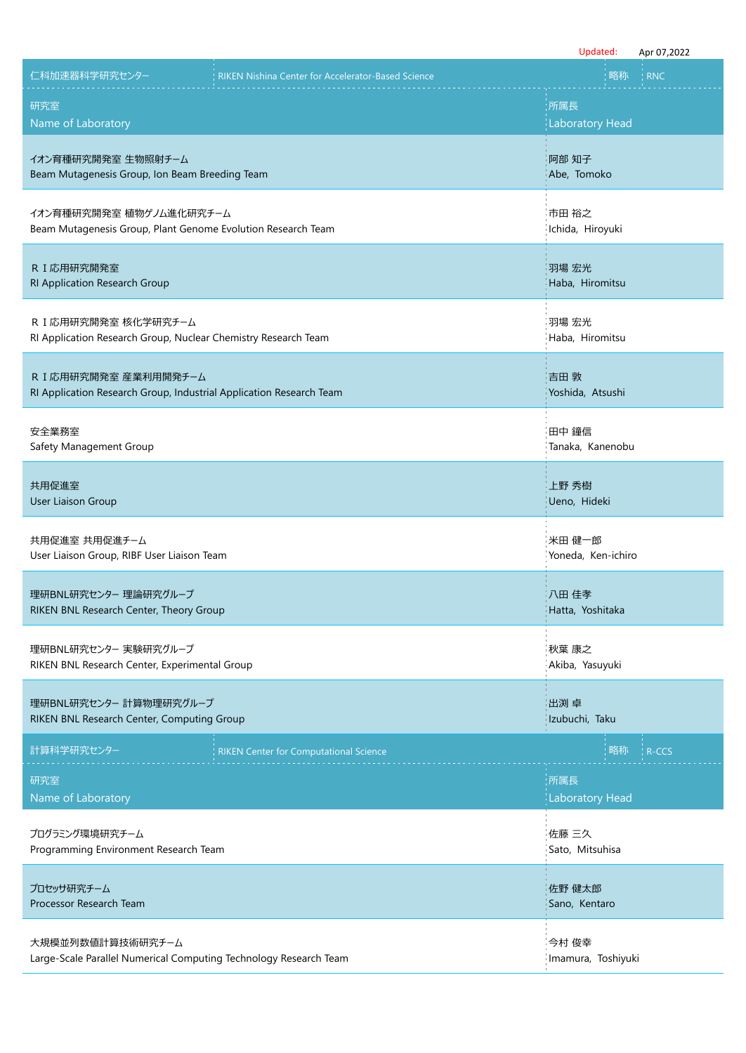|                                                                     | Updated:<br>Apr 07,2022 |
|---------------------------------------------------------------------|-------------------------|
| 仁科加速器科学研究センター                                                       | 略称                      |
| RIKEN Nishina Center for Accelerator-Based Science                  | : RNC                   |
| 研究室                                                                 | :所属長                    |
| Name of Laboratory                                                  | <b>Laboratory Head</b>  |
|                                                                     |                         |
| イオン育種研究開発室 生物照射チーム                                                  | 阿部 知子                   |
| Beam Mutagenesis Group, Ion Beam Breeding Team                      | Abe, Tomoko             |
| イオン育種研究開発室 植物ゲノム進化研究チーム                                             | 市田 裕之                   |
| Beam Mutagenesis Group, Plant Genome Evolution Research Team        | Ichida, Hiroyuki        |
| R I 応用研究開発室                                                         | 羽場 宏光                   |
| RI Application Research Group                                       | Haba, Hiromitsu         |
| R I 応用研究開発室 核化学研究チーム                                                | 羽場 宏光                   |
| RI Application Research Group, Nuclear Chemistry Research Team      | Haba, Hiromitsu         |
| R I 応用研究開発室 産業利用開発チーム                                               | 吉田 敦                    |
| RI Application Research Group, Industrial Application Research Team | Yoshida, Atsushi        |
| 安全業務室                                                               | 田中 鐘信                   |
| Safety Management Group                                             | Tanaka, Kanenobu        |
| 共用促進室                                                               | 上野 秀樹                   |
| <b>User Liaison Group</b>                                           | Ueno, Hideki            |
| 共用促進室 共用促進チーム                                                       | 米田 健一郎                  |
| User Liaison Group, RIBF User Liaison Team                          | Yoneda, Ken-ichiro      |
| 理研BNL研究センター 理論研究グループ                                                | 八田 佳孝                   |
| RIKEN BNL Research Center, Theory Group                             | Hatta, Yoshitaka        |
| 理研BNL研究センター 実験研究グループ                                                | 秋葉 康之                   |
| RIKEN BNL Research Center, Experimental Group                       | Akiba, Yasuyuki         |
| 理研BNL研究センター 計算物理研究グループ                                              | 出渕 卓                    |
| RIKEN BNL Research Center, Computing Group                          | Izubuchi, Taku          |
| 計算科学研究センター                                                          | 略称                      |
| <b>RIKEN Center for Computational Science</b>                       | : R-CCS                 |
| 研究室                                                                 | ;所属長                    |
| Name of Laboratory                                                  | <b>Laboratory Head</b>  |
| プログラミング環境研究チーム                                                      | 佐藤 三久                   |
| Programming Environment Research Team                               | Sato, Mitsuhisa         |
| プロセッサ研究チーム                                                          | 佐野 健太郎                  |
| Processor Research Team                                             | Sano, Kentaro           |
| 大規模並列数値計算技術研究チーム                                                    | 今村 俊幸                   |
| Large-Scale Parallel Numerical Computing Technology Research Team   | Imamura, Toshiyuki      |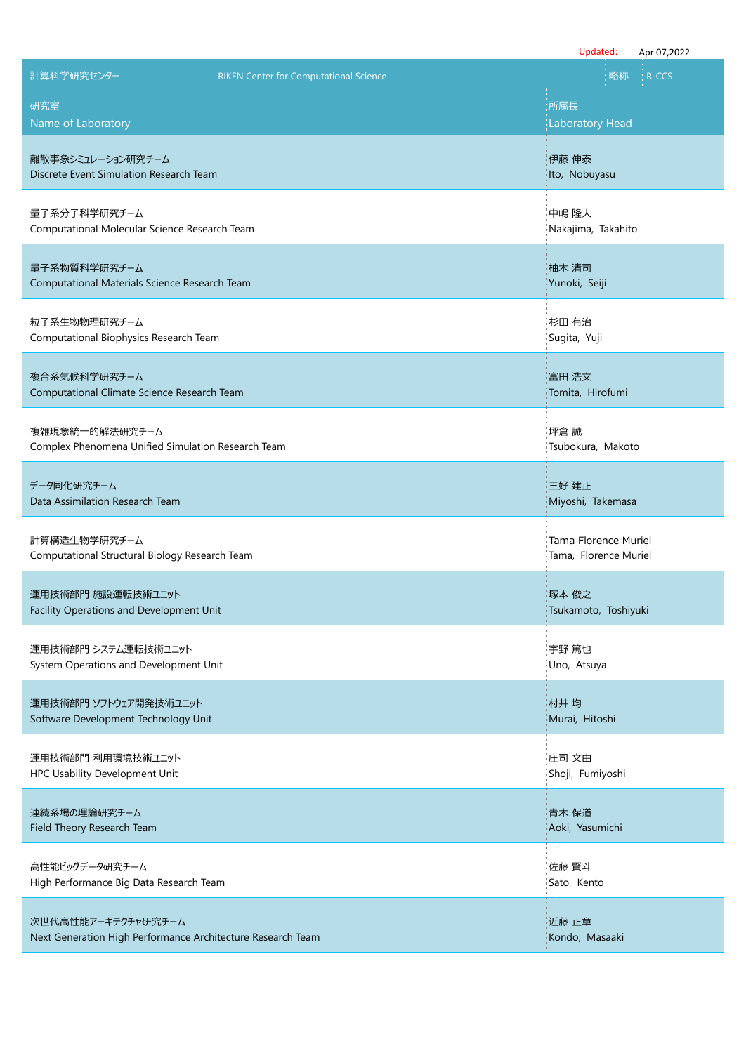|                                                                                   |                                               | Updated:<br>Apr 07,2022                       |
|-----------------------------------------------------------------------------------|-----------------------------------------------|-----------------------------------------------|
| 計算科学研究センター                                                                        | <b>RIKEN Center for Computational Science</b> | 略称<br>R-CCS                                   |
| 研究室<br>Name of Laboratory                                                         |                                               | :所属長<br><b>Laboratory Head</b>                |
| 離散事象シミュレーション研究チーム<br>Discrete Event Simulation Research Team                      |                                               | 伊藤 伸泰<br>Ito, Nobuyasu                        |
| 量子系分子科学研究チーム<br>Computational Molecular Science Research Team                     |                                               | 中嶋 隆人<br>Nakajima, Takahito                   |
| 量子系物質科学研究チーム<br>Computational Materials Science Research Team                     |                                               | 柚木 清司<br>Yunoki, Seiji                        |
| 粒子系生物物理研究チーム<br>Computational Biophysics Research Team                            |                                               | 杉田 有治<br>Sugita, Yuji                         |
| 複合系気候科学研究チーム<br>Computational Climate Science Research Team                       |                                               | 富田 浩文<br>Tomita, Hirofumi                     |
| 複雑現象統一的解法研究チーム<br>Complex Phenomena Unified Simulation Research Team              |                                               | 坪倉 誠<br>Tsubokura, Makoto                     |
| データ同化研究チーム<br>Data Assimilation Research Team                                     |                                               | 三好 建正<br>Miyoshi, Takemasa                    |
| 計算構造生物学研究チーム<br>Computational Structural Biology Research Team                    |                                               | Tama Florence Muriel<br>Tama, Florence Muriel |
| 運用技術部門 施設運転技術ユニット<br>Facility Operations and Development Unit                     |                                               | 塚本 俊之<br>Tsukamoto, Toshiyuki                 |
| 運用技術部門 システム運転技術ユニット<br>System Operations and Development Unit                     |                                               | 宇野 篤也<br>Uno, Atsuya                          |
| 運用技術部門 ソフトウェア開発技術ユニット<br>Software Development Technology Unit                     |                                               | 村井 均<br>Murai, Hitoshi                        |
| 運用技術部門 利用環境技術ユニット<br>HPC Usability Development Unit                               |                                               | 庄司 文由<br>Shoji, Fumiyoshi                     |
| 連続系場の理論研究チーム<br>Field Theory Research Team                                        |                                               | 青木 保道<br>Aoki, Yasumichi                      |
| 高性能ビッグデータ研究チーム<br>High Performance Big Data Research Team                         |                                               | 佐藤 賢斗<br>Sato, Kento                          |
| 次世代高性能アーキテクチャ研究チーム<br>Next Generation High Performance Architecture Research Team |                                               | 近藤 正章<br>Kondo, Masaaki                       |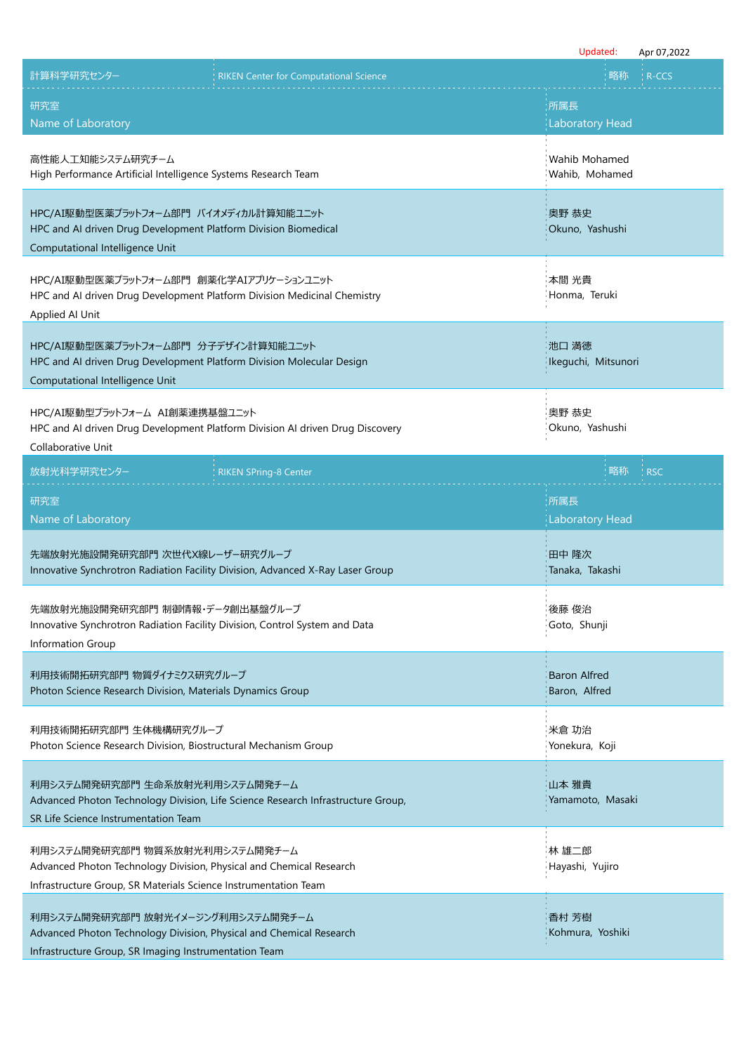|                                                                                                                                                                          | Updated:                             | Apr 07,2022 |
|--------------------------------------------------------------------------------------------------------------------------------------------------------------------------|--------------------------------------|-------------|
| 計算科学研究センター<br><b>RIKEN Center for Computational Science</b>                                                                                                              | 略称                                   | R-CCS       |
| 研究室<br>Name of Laboratory                                                                                                                                                | :所属長<br><b>Laboratory Head</b>       |             |
| 高性能人工知能システム研究チーム<br>High Performance Artificial Intelligence Systems Research Team                                                                                       | Wahib Mohamed<br>Wahib, Mohamed      |             |
| HPC/AI駆動型医薬プラットフォーム部門 バイオメディカル計算知能ユニット<br>HPC and AI driven Drug Development Platform Division Biomedical<br>Computational Intelligence Unit                             | 奥野 恭史<br>Okuno, Yashushi             |             |
| HPC/AI駆動型医薬プラットフォーム部門 創薬化学AIアプリケーションユニット<br>HPC and AI driven Drug Development Platform Division Medicinal Chemistry<br>Applied Al Unit                                  | 本間 光貴<br>Honma, Teruki               |             |
| HPC/AI駆動型医薬プラットフォーム部門 分子デザイン計算知能ユニット<br>HPC and AI driven Drug Development Platform Division Molecular Design<br>Computational Intelligence Unit                         | 池口 満徳<br>Ikeguchi, Mitsunori         |             |
| HPC/AI駆動型プラットフォーム AI創薬連携基盤ユニット<br>HPC and AI driven Drug Development Platform Division AI driven Drug Discovery<br>Collaborative Unit                                    | 奥野 恭史<br>Okuno, Yashushi             |             |
| 放射光科学研究センター<br><b>RIKEN SPring-8 Center</b>                                                                                                                              | 略称                                   | <b>RSC</b>  |
| 研究室<br>Name of Laboratory                                                                                                                                                | 所属長<br><b>Laboratory Head</b>        |             |
| 先端放射光施設開発研究部門 次世代X線レーザー研究グループ<br>Innovative Synchrotron Radiation Facility Division, Advanced X-Ray Laser Group                                                          | 田中 隆次<br>Tanaka, Takashi             |             |
| 先端放射光施設開発研究部門 制御情報・データ創出基盤グループ<br>Innovative Synchrotron Radiation Facility Division, Control System and Data<br>Information Group                                       | 後藤 俊治<br>Goto, Shunji                |             |
| 利用技術開拓研究部門 物質ダイナミクス研究グループ<br>Photon Science Research Division, Materials Dynamics Group                                                                                  | <b>Baron Alfred</b><br>Baron, Alfred |             |
| 利用技術開拓研究部門 生体機構研究グループ<br>Photon Science Research Division, Biostructural Mechanism Group                                                                                 | 米倉 功治<br>Yonekura, Koji              |             |
| 利用システム開発研究部門 生命系放射光利用システム開発チーム<br>Advanced Photon Technology Division, Life Science Research Infrastructure Group,<br>SR Life Science Instrumentation Team               | 山本 雅貴<br>Yamamoto, Masaki            |             |
| 利用システム開発研究部門 物質系放射光利用システム開発チーム<br>Advanced Photon Technology Division, Physical and Chemical Research<br>Infrastructure Group, SR Materials Science Instrumentation Team | 林 雄二郎<br>Hayashi, Yujiro             |             |
| 利用システム開発研究部門 放射光イメージング利用システム開発チーム<br>Advanced Photon Technology Division, Physical and Chemical Research<br>Infrastructure Group, SR Imaging Instrumentation Team        | 香村 芳樹<br>Kohmura, Yoshiki            |             |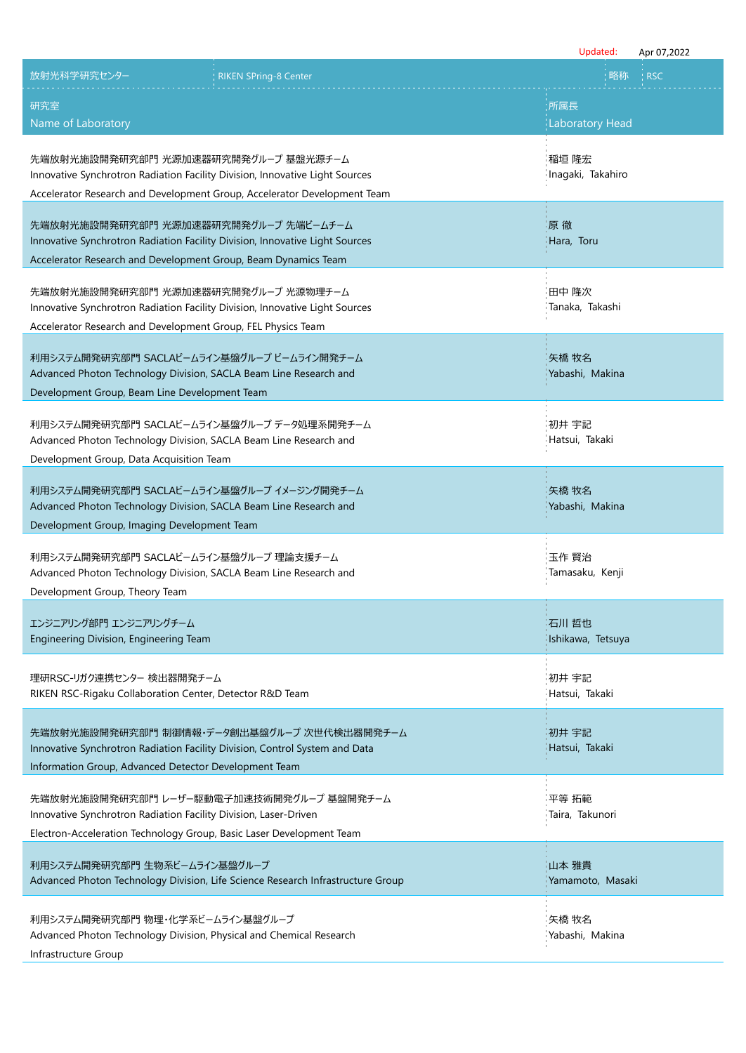|                                                                                                                                                                                                 | Updated:                   | Apr 07,2022 |
|-------------------------------------------------------------------------------------------------------------------------------------------------------------------------------------------------|----------------------------|-------------|
| 放射光科学研究センター<br><b>RIKEN SPring-8 Center</b>                                                                                                                                                     | 略称                         | <b>RSC</b>  |
| 研究室                                                                                                                                                                                             | 所属長                        |             |
| Name of Laboratory                                                                                                                                                                              | <b>Laboratory Head</b>     |             |
| 先端放射光施設開発研究部門 光源加速器研究開発グループ 基盤光源チーム<br>Innovative Synchrotron Radiation Facility Division, Innovative Light Sources<br>Accelerator Research and Development Group, Accelerator Development Team | 稲垣 隆宏<br>Inagaki, Takahiro |             |
| 先端放射光施設開発研究部門 光源加速器研究開発グループ 先端ビームチーム<br>Innovative Synchrotron Radiation Facility Division, Innovative Light Sources<br>Accelerator Research and Development Group, Beam Dynamics Team          | 原徹<br>Hara, Toru           |             |
| 先端放射光施設開発研究部門 光源加速器研究開発グループ 光源物理チーム<br>Innovative Synchrotron Radiation Facility Division, Innovative Light Sources<br>Accelerator Research and Development Group, FEL Physics Team             | 田中 降次<br>Tanaka, Takashi   |             |
| 利用システム開発研究部門 SACLAビームライン基盤グループ ビームライン開発チーム<br>Advanced Photon Technology Division, SACLA Beam Line Research and<br>Development Group, Beam Line Development Team                                | 矢橋 牧名<br>Yabashi, Makina   |             |
| 利用システム開発研究部門 SACLAビームライン基盤グループ データ処理系開発チーム<br>Advanced Photon Technology Division, SACLA Beam Line Research and<br>Development Group, Data Acquisition Team                                     | 初井 宇記<br>Hatsui, Takaki    |             |
| 利用システム開発研究部門 SACLAビームライン基盤グループ イメージング開発チーム<br>Advanced Photon Technology Division, SACLA Beam Line Research and<br>Development Group, Imaging Development Team                                  | 矢橋 牧名<br>Yabashi, Makina   |             |
| 利用システム開発研究部門 SACLAビームライン基盤グループ 理論支援チーム<br>Advanced Photon Technology Division, SACLA Beam Line Research and<br>Development Group, Theory Team                                                   | 玉作 賢治<br>Tamasaku, Kenji   |             |
| エンジニアリング部門 エンジニアリングチーム<br>Engineering Division, Engineering Team                                                                                                                                | 石川 哲也<br>Ishikawa, Tetsuya |             |
| 理研RSC-リガク連携センター 検出器開発チーム<br>RIKEN RSC-Rigaku Collaboration Center, Detector R&D Team                                                                                                            | 初井 宇記<br>Hatsui, Takaki    |             |
| 先端放射光施設開発研究部門 制御情報・データ創出基盤グループ 次世代検出器開発チーム<br>Innovative Synchrotron Radiation Facility Division, Control System and Data<br>Information Group, Advanced Detector Development Team              | 初井 宇記<br>Hatsui, Takaki    |             |
| 先端放射光施設開発研究部門 レーザー駆動電子加速技術開発グループ 基盤開発チーム<br>Innovative Synchrotron Radiation Facility Division, Laser-Driven<br>Electron-Acceleration Technology Group, Basic Laser Development Team            | 平等 拓範<br>Taira, Takunori   |             |
| 利用システム開発研究部門 生物系ビームライン基盤グループ<br>Advanced Photon Technology Division, Life Science Research Infrastructure Group                                                                                 | 山本 雅貴<br>Yamamoto, Masaki  |             |
| 利用システム開発研究部門 物理・化学系ビームライン基盤グループ<br>Advanced Photon Technology Division, Physical and Chemical Research<br>Infrastructure Group                                                                  | 矢橋 牧名<br>Yabashi, Makina   |             |